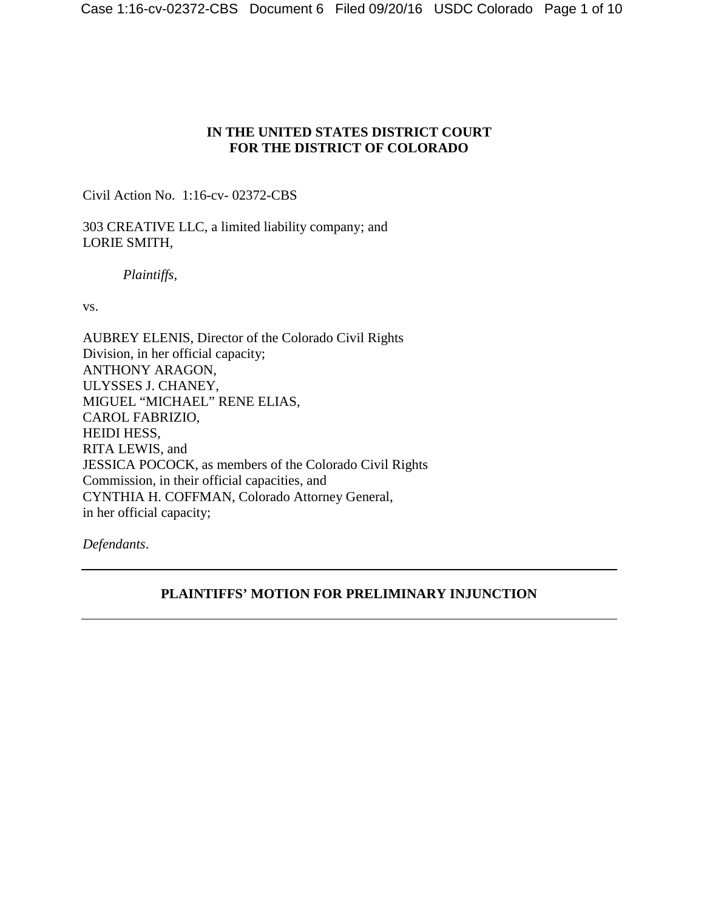# **IN THE UNITED STATES DISTRICT COURT FOR THE DISTRICT OF COLORADO**

Civil Action No. 1:16-cv- 02372-CBS

303 CREATIVE LLC, a limited liability company; and LORIE SMITH,

*Plaintiffs*,

vs.

AUBREY ELENIS, Director of the Colorado Civil Rights Division, in her official capacity; ANTHONY ARAGON, ULYSSES J. CHANEY, MIGUEL "MICHAEL" RENE ELIAS, CAROL FABRIZIO, HEIDI HESS, RITA LEWIS, and JESSICA POCOCK, as members of the Colorado Civil Rights Commission, in their official capacities, and CYNTHIA H. COFFMAN, Colorado Attorney General, in her official capacity;

*Defendants*.

# **PLAINTIFFS' MOTION FOR PRELIMINARY INJUNCTION**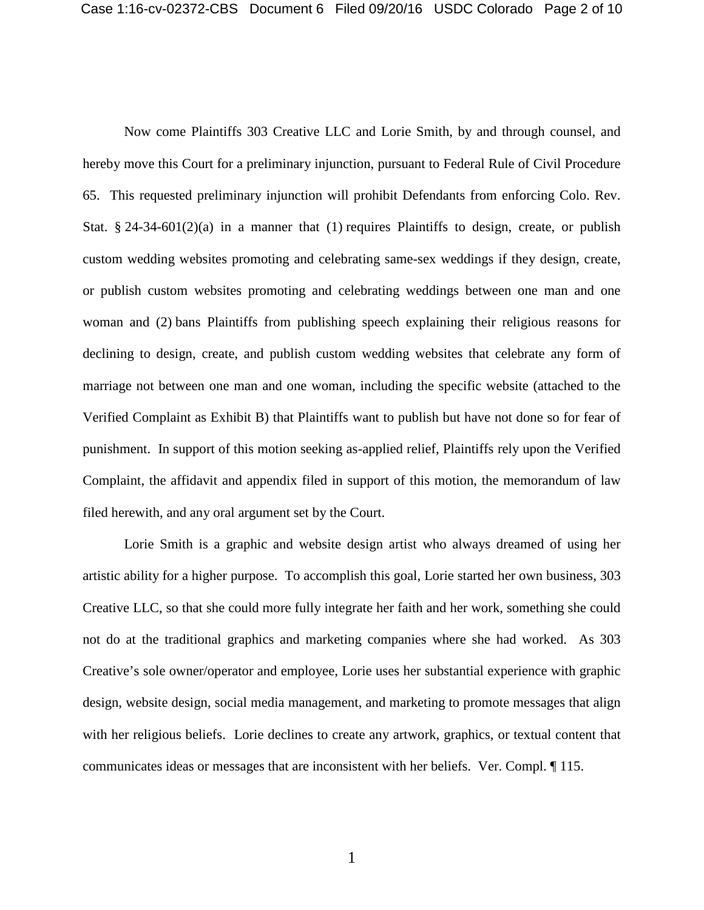Now come Plaintiffs 303 Creative LLC and Lorie Smith, by and through counsel, and hereby move this Court for a preliminary injunction, pursuant to Federal Rule of Civil Procedure 65. This requested preliminary injunction will prohibit Defendants from enforcing Colo. Rev. Stat. § 24-34-601(2)(a) in a manner that (1) requires Plaintiffs to design, create, or publish custom wedding websites promoting and celebrating same-sex weddings if they design, create, or publish custom websites promoting and celebrating weddings between one man and one woman and (2) bans Plaintiffs from publishing speech explaining their religious reasons for declining to design, create, and publish custom wedding websites that celebrate any form of marriage not between one man and one woman, including the specific website (attached to the Verified Complaint as Exhibit B) that Plaintiffs want to publish but have not done so for fear of punishment. In support of this motion seeking as-applied relief, Plaintiffs rely upon the Verified Complaint, the affidavit and appendix filed in support of this motion, the memorandum of law filed herewith, and any oral argument set by the Court.

Lorie Smith is a graphic and website design artist who always dreamed of using her artistic ability for a higher purpose. To accomplish this goal, Lorie started her own business, 303 Creative LLC, so that she could more fully integrate her faith and her work, something she could not do at the traditional graphics and marketing companies where she had worked. As 303 Creative's sole owner/operator and employee, Lorie uses her substantial experience with graphic design, website design, social media management, and marketing to promote messages that align with her religious beliefs. Lorie declines to create any artwork, graphics, or textual content that communicates ideas or messages that are inconsistent with her beliefs. Ver. Compl. ¶ 115.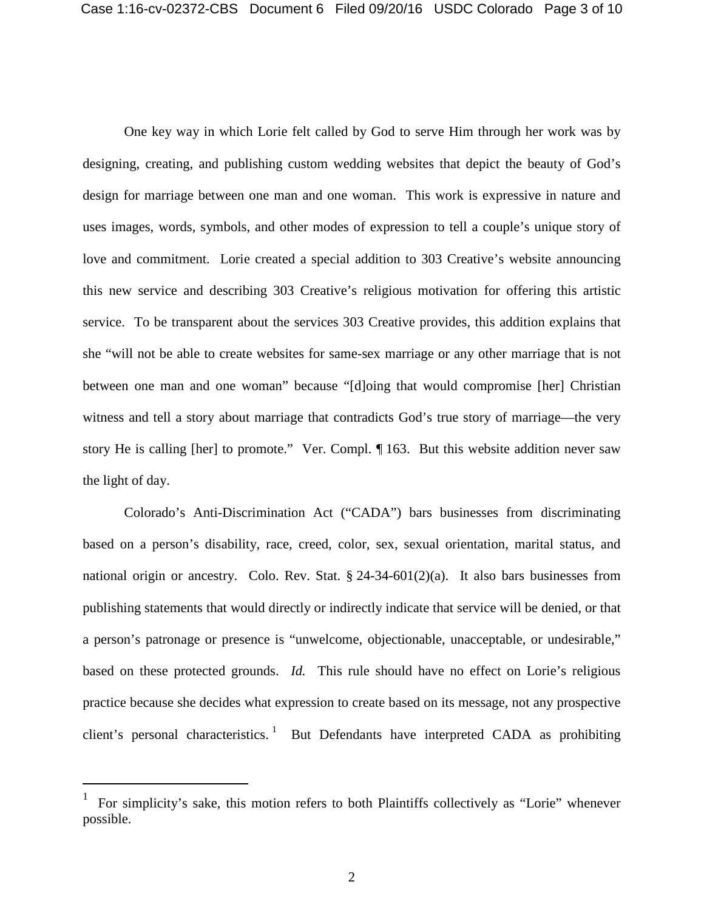One key way in which Lorie felt called by God to serve Him through her work was by designing, creating, and publishing custom wedding websites that depict the beauty of God's design for marriage between one man and one woman. This work is expressive in nature and uses images, words, symbols, and other modes of expression to tell a couple's unique story of love and commitment. Lorie created a special addition to 303 Creative's website announcing this new service and describing 303 Creative's religious motivation for offering this artistic service. To be transparent about the services 303 Creative provides, this addition explains that she "will not be able to create websites for same-sex marriage or any other marriage that is not between one man and one woman" because "[d]oing that would compromise [her] Christian witness and tell a story about marriage that contradicts God's true story of marriage—the very story He is calling [her] to promote." Ver. Compl. ¶ 163. But this website addition never saw the light of day.

Colorado's Anti-Discrimination Act ("CADA") bars businesses from discriminating based on a person's disability, race, creed, color, sex, sexual orientation, marital status, and national origin or ancestry. Colo. Rev. Stat.  $\S 24-34-601(2)(a)$ . It also bars businesses from publishing statements that would directly or indirectly indicate that service will be denied, or that a person's patronage or presence is "unwelcome, objectionable, unacceptable, or undesirable," based on these protected grounds. *Id.* This rule should have no effect on Lorie's religious practice because she decides what expression to create based on its message, not any prospective client's personal characteristics.<sup>[1](#page-2-0)</sup> But Defendants have interpreted CADA as prohibiting

<span id="page-2-0"></span> $\frac{1}{1}$  For simplicity's sake, this motion refers to both Plaintiffs collectively as "Lorie" whenever possible.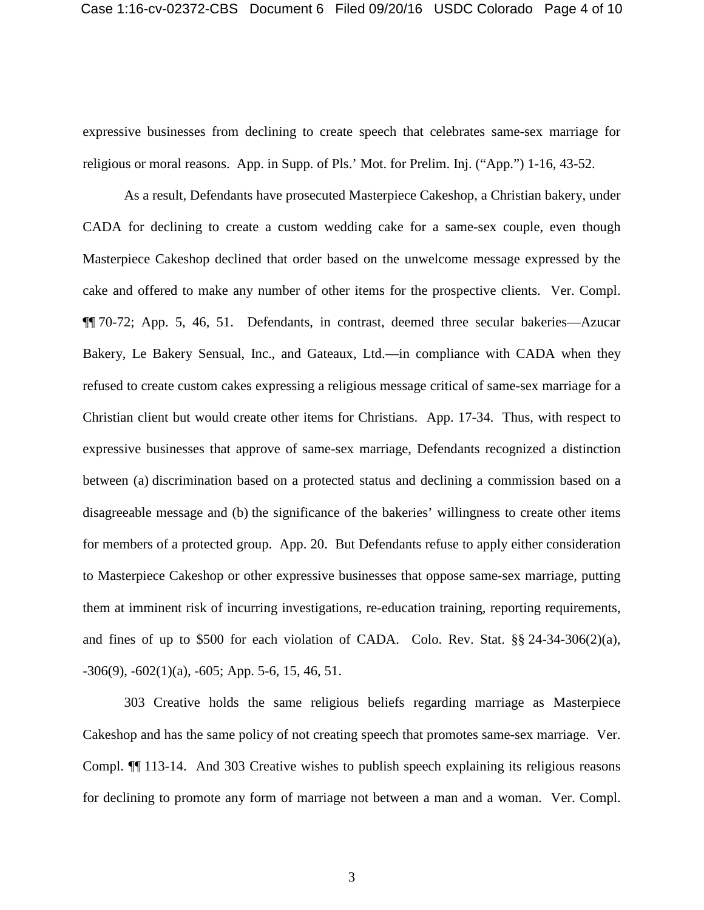expressive businesses from declining to create speech that celebrates same-sex marriage for religious or moral reasons. App. in Supp. of Pls.' Mot. for Prelim. Inj. ("App.") 1-16, 43-52.

As a result, Defendants have prosecuted Masterpiece Cakeshop, a Christian bakery, under CADA for declining to create a custom wedding cake for a same-sex couple, even though Masterpiece Cakeshop declined that order based on the unwelcome message expressed by the cake and offered to make any number of other items for the prospective clients. Ver. Compl. ¶¶ 70-72; App. 5, 46, 51. Defendants, in contrast, deemed three secular bakeries—Azucar Bakery, Le Bakery Sensual, Inc., and Gateaux, Ltd.—in compliance with CADA when they refused to create custom cakes expressing a religious message critical of same-sex marriage for a Christian client but would create other items for Christians. App. 17-34. Thus, with respect to expressive businesses that approve of same-sex marriage, Defendants recognized a distinction between (a) discrimination based on a protected status and declining a commission based on a disagreeable message and (b) the significance of the bakeries' willingness to create other items for members of a protected group. App. 20. But Defendants refuse to apply either consideration to Masterpiece Cakeshop or other expressive businesses that oppose same-sex marriage, putting them at imminent risk of incurring investigations, re-education training, reporting requirements, and fines of up to \$500 for each violation of CADA. Colo. Rev. Stat. §§ 24-34-306(2)(a),  $-306(9)$ ,  $-602(1)(a)$ ,  $-605$ ; App. 5-6, 15, 46, 51.

303 Creative holds the same religious beliefs regarding marriage as Masterpiece Cakeshop and has the same policy of not creating speech that promotes same-sex marriage. Ver. Compl. ¶¶ 113-14. And 303 Creative wishes to publish speech explaining its religious reasons for declining to promote any form of marriage not between a man and a woman. Ver. Compl.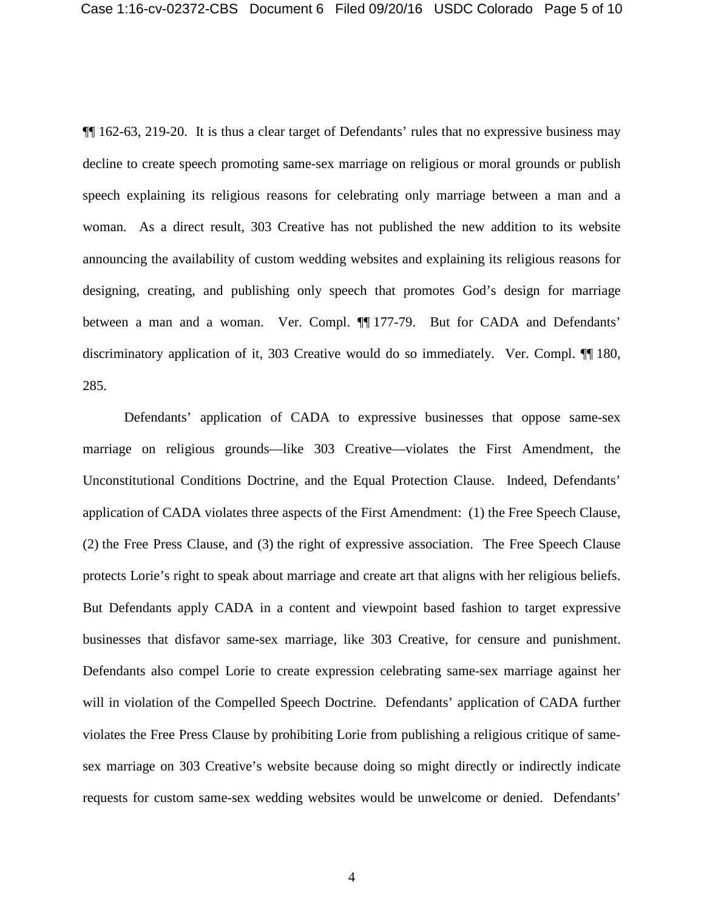¶¶ 162-63, 219-20. It is thus a clear target of Defendants' rules that no expressive business may decline to create speech promoting same-sex marriage on religious or moral grounds or publish speech explaining its religious reasons for celebrating only marriage between a man and a woman. As a direct result, 303 Creative has not published the new addition to its website announcing the availability of custom wedding websites and explaining its religious reasons for designing, creating, and publishing only speech that promotes God's design for marriage between a man and a woman. Ver. Compl. **[1**] 177-79. But for CADA and Defendants' discriminatory application of it, 303 Creative would do so immediately. Ver. Compl. ¶¶ 180, 285.

Defendants' application of CADA to expressive businesses that oppose same-sex marriage on religious grounds—like 303 Creative—violates the First Amendment, the Unconstitutional Conditions Doctrine, and the Equal Protection Clause. Indeed, Defendants' application of CADA violates three aspects of the First Amendment: (1) the Free Speech Clause, (2) the Free Press Clause, and (3) the right of expressive association. The Free Speech Clause protects Lorie's right to speak about marriage and create art that aligns with her religious beliefs. But Defendants apply CADA in a content and viewpoint based fashion to target expressive businesses that disfavor same-sex marriage, like 303 Creative, for censure and punishment. Defendants also compel Lorie to create expression celebrating same-sex marriage against her will in violation of the Compelled Speech Doctrine. Defendants' application of CADA further violates the Free Press Clause by prohibiting Lorie from publishing a religious critique of samesex marriage on 303 Creative's website because doing so might directly or indirectly indicate requests for custom same-sex wedding websites would be unwelcome or denied. Defendants'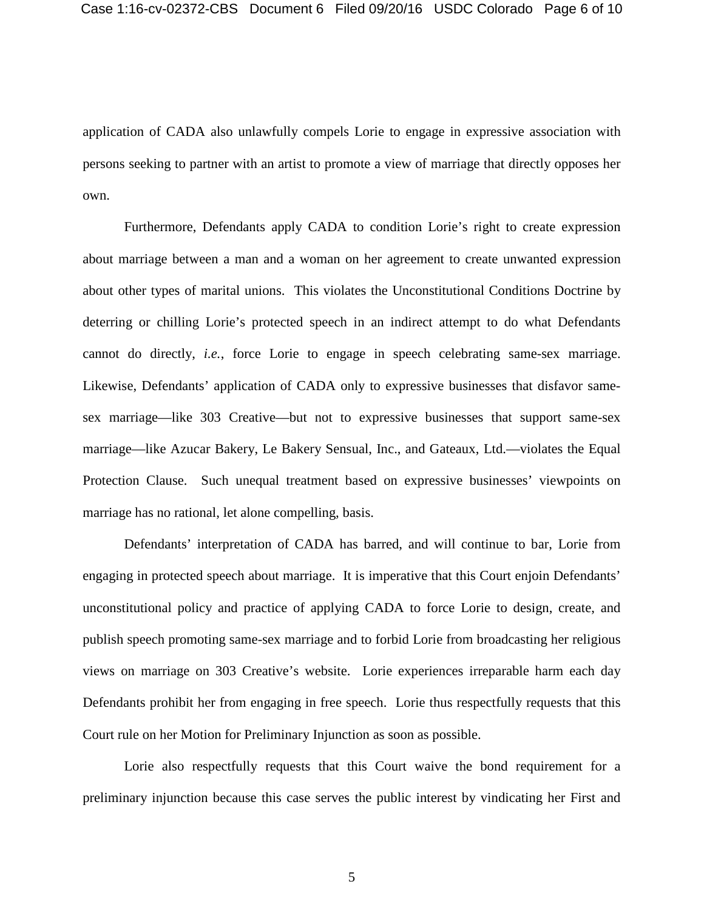application of CADA also unlawfully compels Lorie to engage in expressive association with persons seeking to partner with an artist to promote a view of marriage that directly opposes her own.

Furthermore, Defendants apply CADA to condition Lorie's right to create expression about marriage between a man and a woman on her agreement to create unwanted expression about other types of marital unions. This violates the Unconstitutional Conditions Doctrine by deterring or chilling Lorie's protected speech in an indirect attempt to do what Defendants cannot do directly, *i.e.*, force Lorie to engage in speech celebrating same-sex marriage. Likewise, Defendants' application of CADA only to expressive businesses that disfavor samesex marriage—like 303 Creative—but not to expressive businesses that support same-sex marriage—like Azucar Bakery, Le Bakery Sensual, Inc., and Gateaux, Ltd.—violates the Equal Protection Clause. Such unequal treatment based on expressive businesses' viewpoints on marriage has no rational, let alone compelling, basis.

Defendants' interpretation of CADA has barred, and will continue to bar, Lorie from engaging in protected speech about marriage. It is imperative that this Court enjoin Defendants' unconstitutional policy and practice of applying CADA to force Lorie to design, create, and publish speech promoting same-sex marriage and to forbid Lorie from broadcasting her religious views on marriage on 303 Creative's website. Lorie experiences irreparable harm each day Defendants prohibit her from engaging in free speech. Lorie thus respectfully requests that this Court rule on her Motion for Preliminary Injunction as soon as possible.

Lorie also respectfully requests that this Court waive the bond requirement for a preliminary injunction because this case serves the public interest by vindicating her First and

5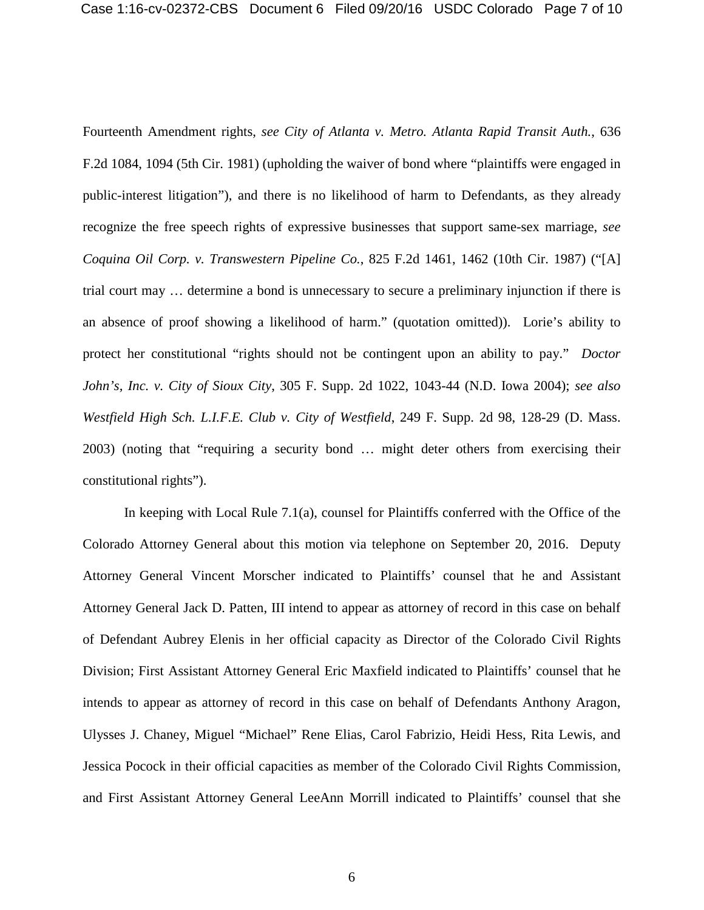Fourteenth Amendment rights, *see City of Atlanta v. Metro. Atlanta Rapid Transit Auth.*, 636 F.2d 1084, 1094 (5th Cir. 1981) (upholding the waiver of bond where "plaintiffs were engaged in public-interest litigation"), and there is no likelihood of harm to Defendants, as they already recognize the free speech rights of expressive businesses that support same-sex marriage, *see Coquina Oil Corp. v. Transwestern Pipeline Co.*, 825 F.2d 1461, 1462 (10th Cir. 1987) ("[A] trial court may … determine a bond is unnecessary to secure a preliminary injunction if there is an absence of proof showing a likelihood of harm." (quotation omitted)). Lorie's ability to protect her constitutional "rights should not be contingent upon an ability to pay." *Doctor John's, Inc. v. City of Sioux City*, 305 F. Supp. 2d 1022, 1043-44 (N.D. Iowa 2004); *see also Westfield High Sch. L.I.F.E. Club v. City of Westfield*, 249 F. Supp. 2d 98, 128-29 (D. Mass. 2003) (noting that "requiring a security bond … might deter others from exercising their constitutional rights").

In keeping with Local Rule 7.1(a), counsel for Plaintiffs conferred with the Office of the Colorado Attorney General about this motion via telephone on September 20, 2016. Deputy Attorney General Vincent Morscher indicated to Plaintiffs' counsel that he and Assistant Attorney General Jack D. Patten, III intend to appear as attorney of record in this case on behalf of Defendant Aubrey Elenis in her official capacity as Director of the Colorado Civil Rights Division; First Assistant Attorney General Eric Maxfield indicated to Plaintiffs' counsel that he intends to appear as attorney of record in this case on behalf of Defendants Anthony Aragon, Ulysses J. Chaney, Miguel "Michael" Rene Elias, Carol Fabrizio, Heidi Hess, Rita Lewis, and Jessica Pocock in their official capacities as member of the Colorado Civil Rights Commission, and First Assistant Attorney General LeeAnn Morrill indicated to Plaintiffs' counsel that she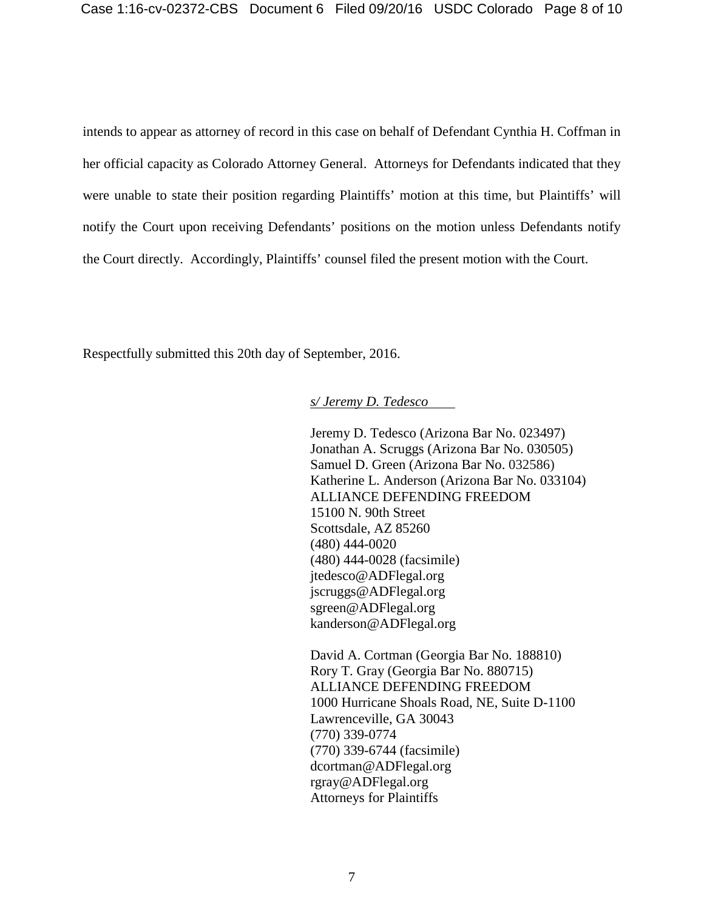intends to appear as attorney of record in this case on behalf of Defendant Cynthia H. Coffman in her official capacity as Colorado Attorney General. Attorneys for Defendants indicated that they were unable to state their position regarding Plaintiffs' motion at this time, but Plaintiffs' will notify the Court upon receiving Defendants' positions on the motion unless Defendants notify the Court directly. Accordingly, Plaintiffs' counsel filed the present motion with the Court.

Respectfully submitted this 20th day of September, 2016.

### *s/ Jeremy D. Tedesco*

Jeremy D. Tedesco (Arizona Bar No. 023497) Jonathan A. Scruggs (Arizona Bar No. 030505) Samuel D. Green (Arizona Bar No. 032586) Katherine L. Anderson (Arizona Bar No. 033104) ALLIANCE DEFENDING FREEDOM 15100 N. 90th Street Scottsdale, AZ 85260 (480) 444-0020 (480) 444-0028 (facsimile) jtedesco@ADFlegal.org jscruggs@ADFlegal.org sgreen@ADFlegal.org kanderson@ADFlegal.org

David A. Cortman (Georgia Bar No. 188810) Rory T. Gray (Georgia Bar No. 880715) ALLIANCE DEFENDING FREEDOM 1000 Hurricane Shoals Road, NE, Suite D-1100 Lawrenceville, GA 30043 (770) 339-0774 (770) 339-6744 (facsimile) dcortman@ADFlegal.org rgray@ADFlegal.org Attorneys for Plaintiffs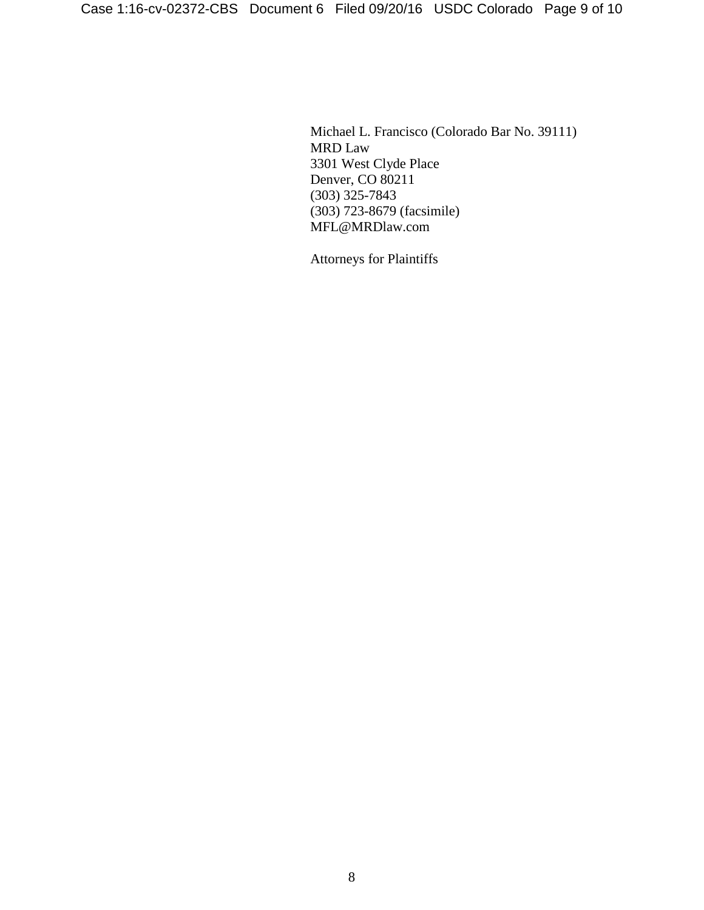Michael L. Francisco (Colorado Bar No. 39111) MRD Law 3301 West Clyde Place Denver, CO 80211 (303) 325-7843 (303) 723-8679 (facsimile) MFL@MRDlaw.com

Attorneys for Plaintiffs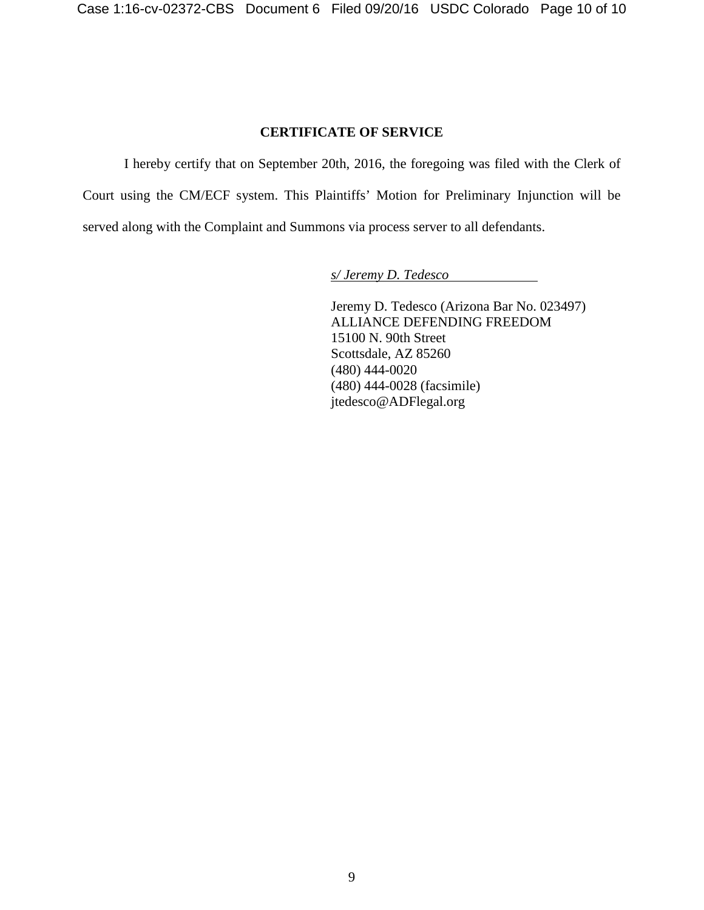# **CERTIFICATE OF SERVICE**

I hereby certify that on September 20th, 2016, the foregoing was filed with the Clerk of Court using the CM/ECF system. This Plaintiffs' Motion for Preliminary Injunction will be served along with the Complaint and Summons via process server to all defendants.

*s/ Jeremy D. Tedesco*

Jeremy D. Tedesco (Arizona Bar No. 023497) ALLIANCE DEFENDING FREEDOM 15100 N. 90th Street Scottsdale, AZ 85260 (480) 444-0020 (480) 444-0028 (facsimile) jtedesco@ADFlegal.org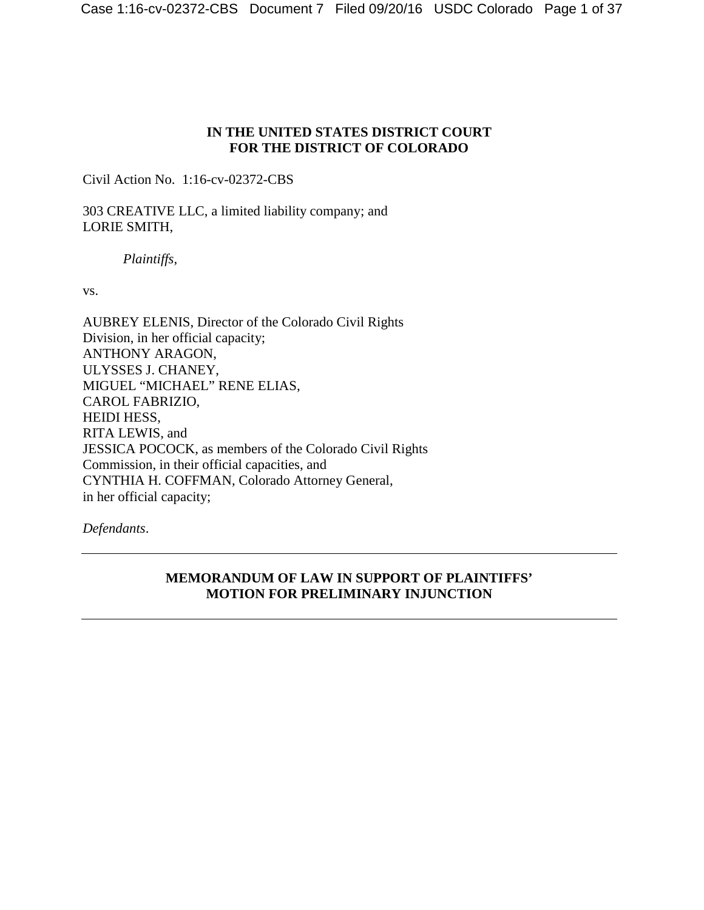## **IN THE UNITED STATES DISTRICT COURT FOR THE DISTRICT OF COLORADO**

Civil Action No. 1:16-cv-02372-CBS

303 CREATIVE LLC, a limited liability company; and LORIE SMITH,

*Plaintiffs*,

vs.

AUBREY ELENIS, Director of the Colorado Civil Rights Division, in her official capacity; ANTHONY ARAGON, ULYSSES J. CHANEY, MIGUEL "MICHAEL" RENE ELIAS, CAROL FABRIZIO, HEIDI HESS, RITA LEWIS, and JESSICA POCOCK, as members of the Colorado Civil Rights Commission, in their official capacities, and CYNTHIA H. COFFMAN, Colorado Attorney General, in her official capacity;

*Defendants*.

# **MEMORANDUM OF LAW IN SUPPORT OF PLAINTIFFS' MOTION FOR PRELIMINARY INJUNCTION**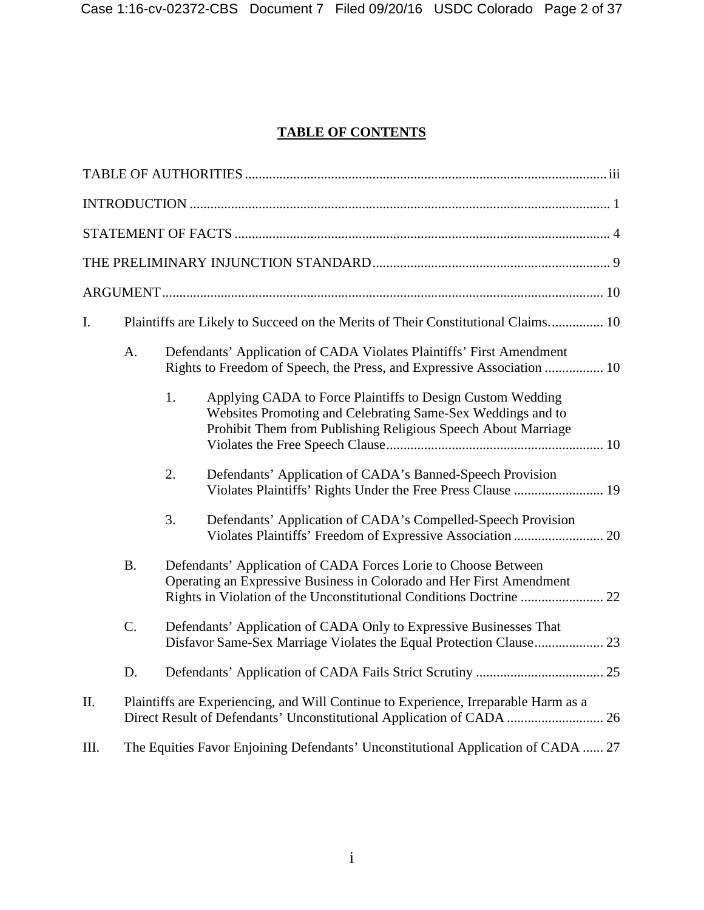# **TABLE OF CONTENTS**

| I.   |                                                                                     | Plaintiffs are Likely to Succeed on the Merits of Their Constitutional Claims 10 |                                                                                                                                                                                                               |  |
|------|-------------------------------------------------------------------------------------|----------------------------------------------------------------------------------|---------------------------------------------------------------------------------------------------------------------------------------------------------------------------------------------------------------|--|
|      | A.                                                                                  |                                                                                  | Defendants' Application of CADA Violates Plaintiffs' First Amendment<br>Rights to Freedom of Speech, the Press, and Expressive Association  10                                                                |  |
|      |                                                                                     | 1.                                                                               | Applying CADA to Force Plaintiffs to Design Custom Wedding<br>Websites Promoting and Celebrating Same-Sex Weddings and to<br>Prohibit Them from Publishing Religious Speech About Marriage                    |  |
|      |                                                                                     | 2.                                                                               | Defendants' Application of CADA's Banned-Speech Provision<br>Violates Plaintiffs' Rights Under the Free Press Clause  19                                                                                      |  |
|      |                                                                                     | 3.                                                                               | Defendants' Application of CADA's Compelled-Speech Provision<br>Violates Plaintiffs' Freedom of Expressive Association  20                                                                                    |  |
|      | B.                                                                                  |                                                                                  | Defendants' Application of CADA Forces Lorie to Choose Between<br>Operating an Expressive Business in Colorado and Her First Amendment<br>Rights in Violation of the Unconstitutional Conditions Doctrine  22 |  |
|      | C.                                                                                  |                                                                                  | Defendants' Application of CADA Only to Expressive Businesses That                                                                                                                                            |  |
|      | D.                                                                                  |                                                                                  |                                                                                                                                                                                                               |  |
| II.  | Plaintiffs are Experiencing, and Will Continue to Experience, Irreparable Harm as a |                                                                                  |                                                                                                                                                                                                               |  |
| III. |                                                                                     |                                                                                  | The Equities Favor Enjoining Defendants' Unconstitutional Application of CADA  27                                                                                                                             |  |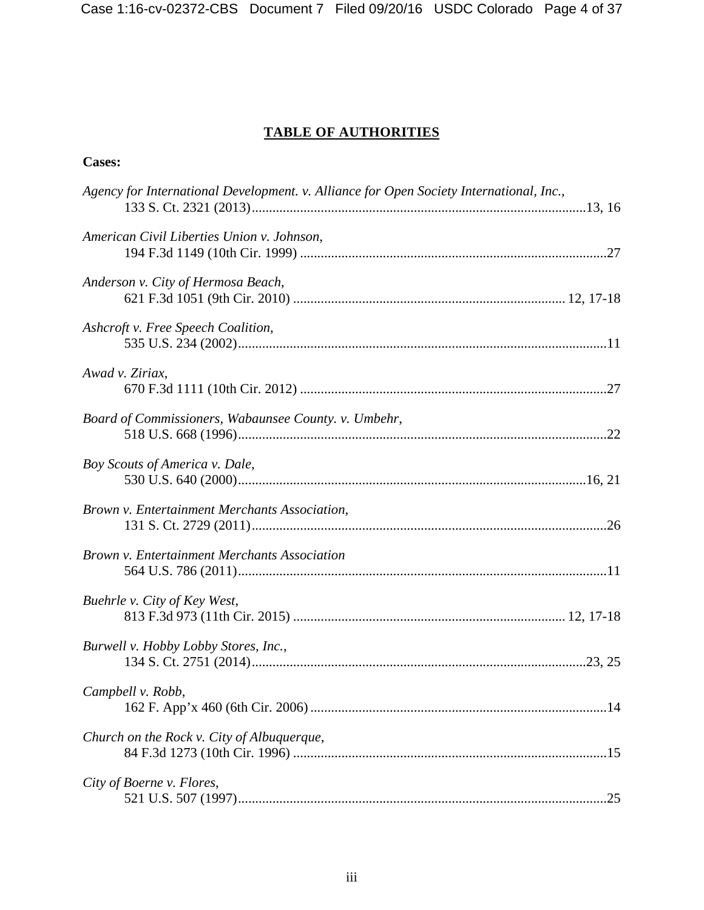# **TABLE OF AUTHORITIES**

# <span id="page-13-0"></span>**Cases:**

| Agency for International Development. v. Alliance for Open Society International, Inc., |
|-----------------------------------------------------------------------------------------|
| American Civil Liberties Union v. Johnson,                                              |
| Anderson v. City of Hermosa Beach,                                                      |
| Ashcroft v. Free Speech Coalition,                                                      |
| Awad v. Ziriax,                                                                         |
| Board of Commissioners, Wabaunsee County. v. Umbehr,                                    |
| Boy Scouts of America v. Dale,                                                          |
| Brown v. Entertainment Merchants Association,                                           |
| Brown v. Entertainment Merchants Association                                            |
| Buehrle v. City of Key West,                                                            |
| Burwell v. Hobby Lobby Stores, Inc.,                                                    |
| Campbell v. Robb,                                                                       |
| Church on the Rock v. City of Albuquerque,                                              |
| City of Boerne v. Flores,                                                               |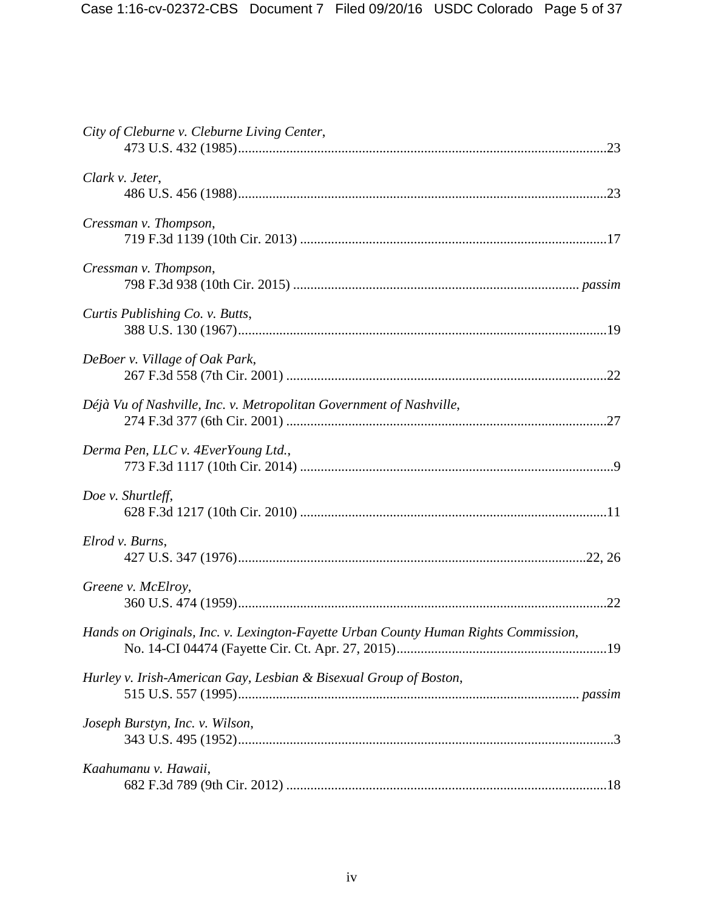| City of Cleburne v. Cleburne Living Center,                                         |
|-------------------------------------------------------------------------------------|
| Clark v. Jeter,                                                                     |
| Cressman v. Thompson,                                                               |
| Cressman v. Thompson,                                                               |
| Curtis Publishing Co. v. Butts,                                                     |
| DeBoer v. Village of Oak Park,                                                      |
| Déjà Vu of Nashville, Inc. v. Metropolitan Government of Nashville,                 |
| Derma Pen, LLC v. 4EverYoung Ltd.,                                                  |
| Doe v. Shurtleff,                                                                   |
| Elrod v. Burns,                                                                     |
| Greene v. McElroy,                                                                  |
| Hands on Originals, Inc. v. Lexington-Fayette Urban County Human Rights Commission, |
| Hurley v. Irish-American Gay, Lesbian & Bisexual Group of Boston,                   |
| Joseph Burstyn, Inc. v. Wilson,                                                     |
| Kaahumanu v. Hawaii,                                                                |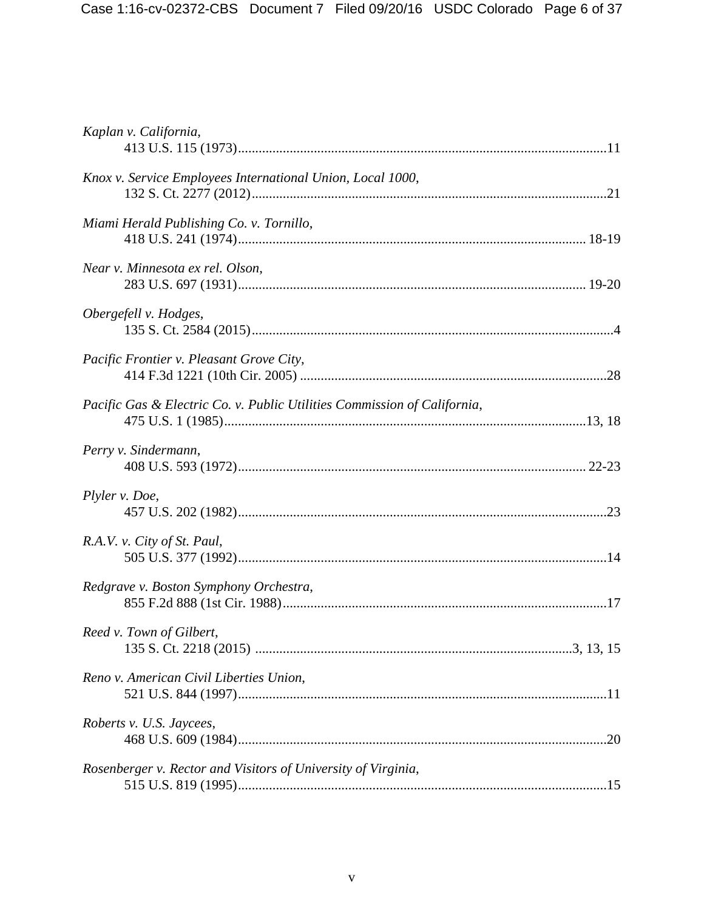| Kaplan v. California,                                                    |  |
|--------------------------------------------------------------------------|--|
| Knox v. Service Employees International Union, Local 1000,               |  |
| Miami Herald Publishing Co. v. Tornillo,                                 |  |
| Near v. Minnesota ex rel. Olson,                                         |  |
| Obergefell v. Hodges,                                                    |  |
| Pacific Frontier v. Pleasant Grove City,                                 |  |
| Pacific Gas & Electric Co. v. Public Utilities Commission of California, |  |
| Perry v. Sindermann,                                                     |  |
| Plyler v. Doe,                                                           |  |
| R.A.V. v. City of St. Paul,                                              |  |
| Redgrave v. Boston Symphony Orchestra,                                   |  |
| Reed v. Town of Gilbert,                                                 |  |
| Reno v. American Civil Liberties Union,                                  |  |
| Roberts v. U.S. Jaycees,                                                 |  |
| Rosenberger v. Rector and Visitors of University of Virginia,            |  |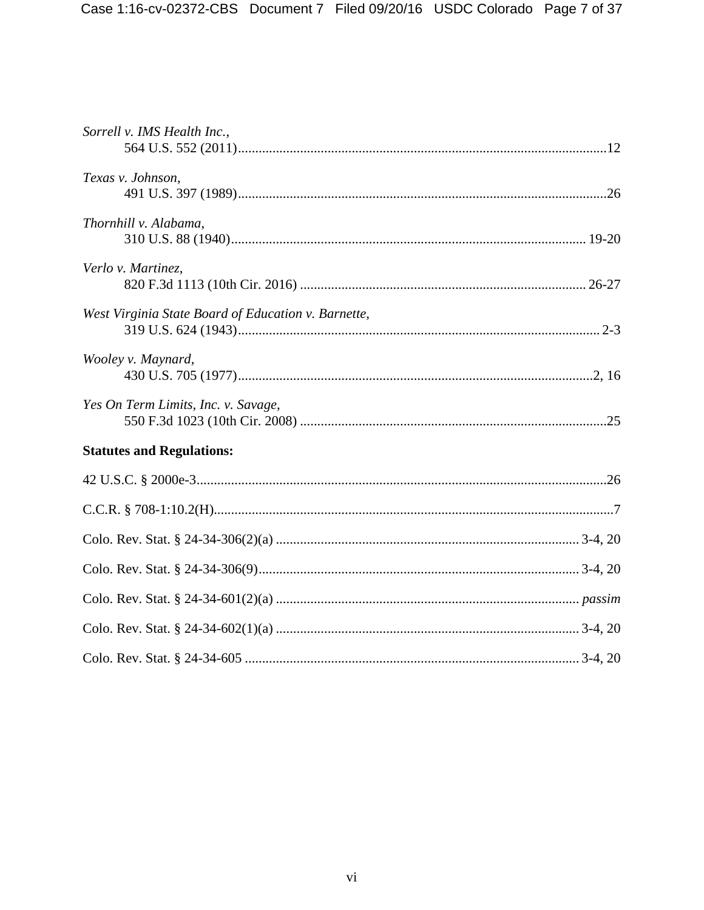| Sorrell v. IMS Health Inc.,                         |
|-----------------------------------------------------|
| Texas v. Johnson,                                   |
| Thornhill v. Alabama,                               |
| Verlo v. Martinez,                                  |
| West Virginia State Board of Education v. Barnette, |
| Wooley v. Maynard,                                  |
| Yes On Term Limits, Inc. v. Savage,                 |
| <b>Statutes and Regulations:</b>                    |
|                                                     |
|                                                     |
|                                                     |
|                                                     |
|                                                     |
|                                                     |
|                                                     |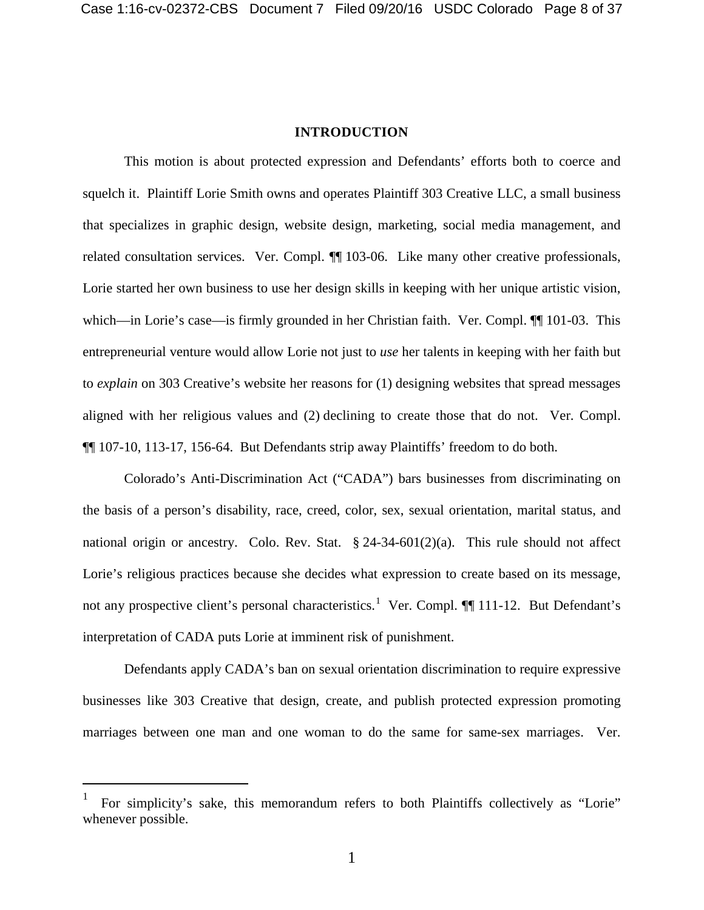#### **INTRODUCTION**

<span id="page-17-0"></span>This motion is about protected expression and Defendants' efforts both to coerce and squelch it. Plaintiff Lorie Smith owns and operates Plaintiff 303 Creative LLC, a small business that specializes in graphic design, website design, marketing, social media management, and related consultation services. Ver. Compl.  $\P$  103-06. Like many other creative professionals, Lorie started her own business to use her design skills in keeping with her unique artistic vision, which—in Lorie's case—is firmly grounded in her Christian faith. Ver. Compl. ¶¶ 101-03. This entrepreneurial venture would allow Lorie not just to *use* her talents in keeping with her faith but to *explain* on 303 Creative's website her reasons for (1) designing websites that spread messages aligned with her religious values and (2) declining to create those that do not. Ver. Compl. ¶¶ 107-10, 113-17, 156-64. But Defendants strip away Plaintiffs' freedom to do both.

Colorado's Anti-Discrimination Act ("CADA") bars businesses from discriminating on the basis of a person's disability, race, creed, color, sex, sexual orientation, marital status, and national origin or ancestry. Colo. Rev. Stat.  $\S 24-34-601(2)(a)$ . This rule should not affect Lorie's religious practices because she decides what expression to create based on its message, not any prospective client's personal characteristics.<sup>[1](#page-17-1)</sup> Ver. Compl. ¶ 111-12. But Defendant's interpretation of CADA puts Lorie at imminent risk of punishment.

Defendants apply CADA's ban on sexual orientation discrimination to require expressive businesses like 303 Creative that design, create, and publish protected expression promoting marriages between one man and one woman to do the same for same-sex marriages. Ver.

<span id="page-17-1"></span> $\frac{1}{1}$  For simplicity's sake, this memorandum refers to both Plaintiffs collectively as "Lorie" whenever possible.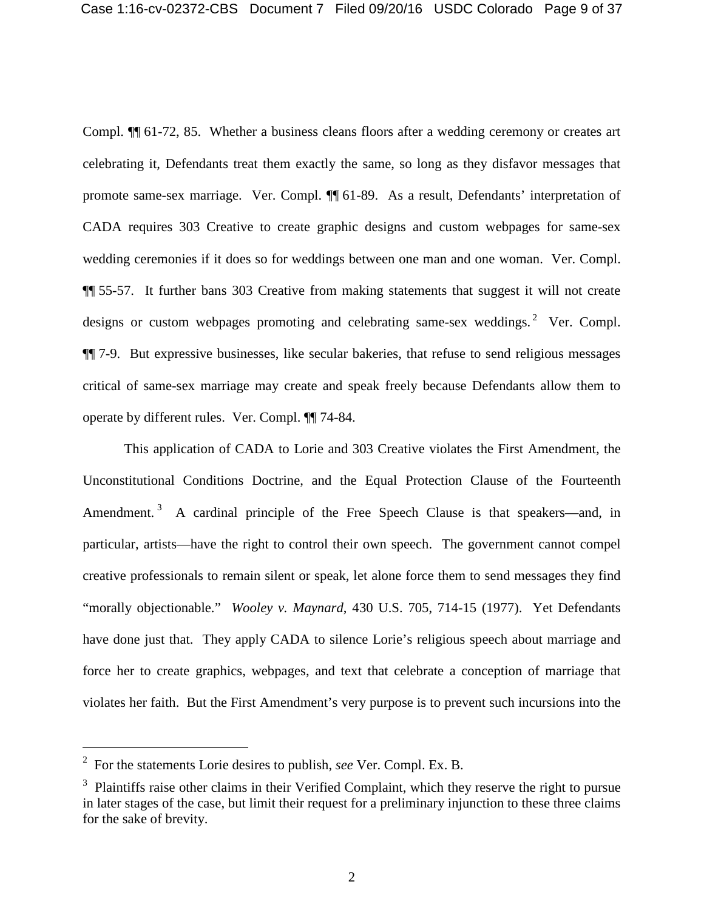Compl. ¶¶ 61-72, 85. Whether a business cleans floors after a wedding ceremony or creates art celebrating it, Defendants treat them exactly the same, so long as they disfavor messages that promote same-sex marriage. Ver. Compl. ¶¶ 61-89. As a result, Defendants' interpretation of CADA requires 303 Creative to create graphic designs and custom webpages for same-sex wedding ceremonies if it does so for weddings between one man and one woman. Ver. Compl. ¶¶ 55-57. It further bans 303 Creative from making statements that suggest it will not create designs or custom webpages promoting and celebrating same-sex weddings.<sup>[2](#page-18-0)</sup> Ver. Compl. ¶¶ 7-9. But expressive businesses, like secular bakeries, that refuse to send religious messages critical of same-sex marriage may create and speak freely because Defendants allow them to operate by different rules. Ver. Compl. ¶¶ 74-84.

This application of CADA to Lorie and 303 Creative violates the First Amendment, the Unconstitutional Conditions Doctrine, and the Equal Protection Clause of the Fourteenth Amendment.<sup>[3](#page-18-1)</sup> A cardinal principle of the Free Speech Clause is that speakers—and, in particular, artists—have the right to control their own speech. The government cannot compel creative professionals to remain silent or speak, let alone force them to send messages they find "morally objectionable." *Wooley v. Maynard*, 430 U.S. 705, 714-15 (1977). Yet Defendants have done just that. They apply CADA to silence Lorie's religious speech about marriage and force her to create graphics, webpages, and text that celebrate a conception of marriage that violates her faith. But the First Amendment's very purpose is to prevent such incursions into the

<span id="page-18-0"></span> <sup>2</sup> For the statements Lorie desires to publish, *see* Ver. Compl. Ex. B.

<span id="page-18-1"></span> $3$  Plaintiffs raise other claims in their Verified Complaint, which they reserve the right to pursue in later stages of the case, but limit their request for a preliminary injunction to these three claims for the sake of brevity.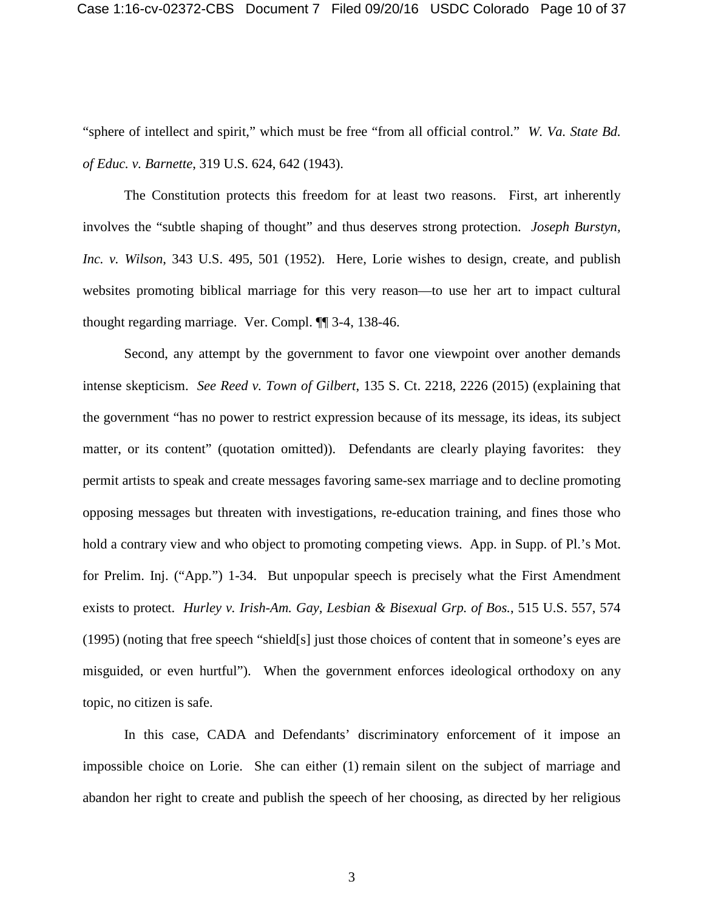"sphere of intellect and spirit," which must be free "from all official control." *W. Va. State Bd. of Educ. v. Barnette*, 319 U.S. 624, 642 (1943).

The Constitution protects this freedom for at least two reasons. First, art inherently involves the "subtle shaping of thought" and thus deserves strong protection. *Joseph Burstyn, Inc. v. Wilson*, 343 U.S. 495, 501 (1952). Here, Lorie wishes to design, create, and publish websites promoting biblical marriage for this very reason—to use her art to impact cultural thought regarding marriage. Ver. Compl. ¶¶ 3-4, 138-46.

Second, any attempt by the government to favor one viewpoint over another demands intense skepticism. *See Reed v. Town of Gilbert*, 135 S. Ct. 2218, 2226 (2015) (explaining that the government "has no power to restrict expression because of its message, its ideas, its subject matter, or its content" (quotation omitted)). Defendants are clearly playing favorites: they permit artists to speak and create messages favoring same-sex marriage and to decline promoting opposing messages but threaten with investigations, re-education training, and fines those who hold a contrary view and who object to promoting competing views. App. in Supp. of Pl.'s Mot. for Prelim. Inj. ("App.") 1-34. But unpopular speech is precisely what the First Amendment exists to protect. *Hurley v. Irish-Am. Gay, Lesbian & Bisexual Grp. of Bos.*, 515 U.S. 557, 574 (1995) (noting that free speech "shield[s] just those choices of content that in someone's eyes are misguided, or even hurtful"). When the government enforces ideological orthodoxy on any topic, no citizen is safe.

In this case, CADA and Defendants' discriminatory enforcement of it impose an impossible choice on Lorie. She can either (1) remain silent on the subject of marriage and abandon her right to create and publish the speech of her choosing, as directed by her religious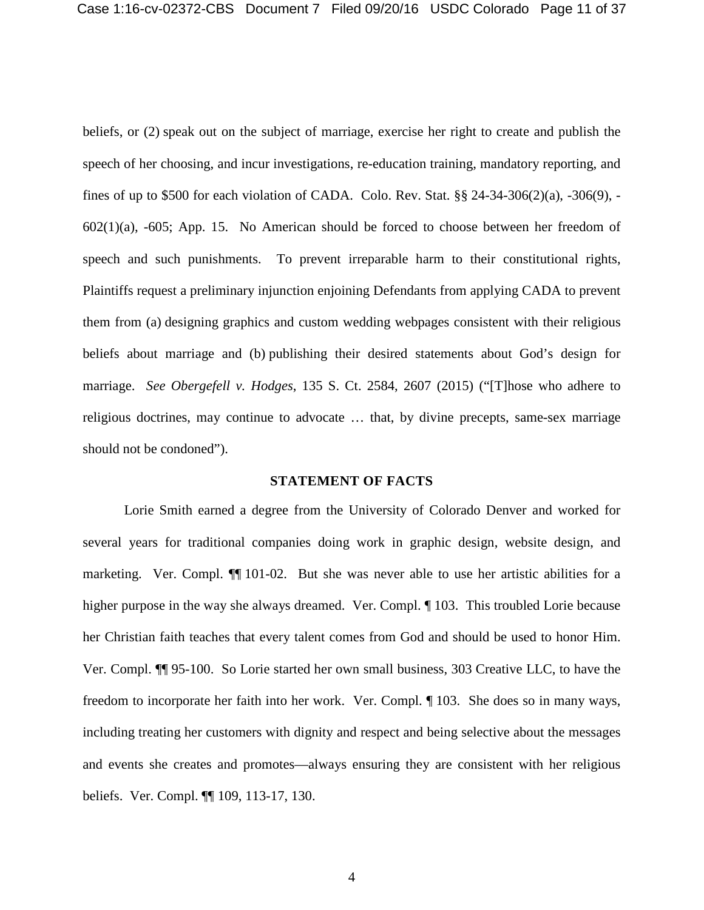beliefs, or (2) speak out on the subject of marriage, exercise her right to create and publish the speech of her choosing, and incur investigations, re-education training, mandatory reporting, and fines of up to \$500 for each violation of CADA. Colo. Rev. Stat. §§ 24-34-306(2)(a), -306(9), -  $602(1)(a)$ ,  $-605$ ; App. 15. No American should be forced to choose between her freedom of speech and such punishments. To prevent irreparable harm to their constitutional rights, Plaintiffs request a preliminary injunction enjoining Defendants from applying CADA to prevent them from (a) designing graphics and custom wedding webpages consistent with their religious beliefs about marriage and (b) publishing their desired statements about God's design for marriage. *See Obergefell v. Hodges*, 135 S. Ct. 2584, 2607 (2015) ("[T]hose who adhere to religious doctrines, may continue to advocate … that, by divine precepts, same-sex marriage should not be condoned").

### **STATEMENT OF FACTS**

<span id="page-20-0"></span>Lorie Smith earned a degree from the University of Colorado Denver and worked for several years for traditional companies doing work in graphic design, website design, and marketing. Ver. Compl. ¶¶ 101-02. But she was never able to use her artistic abilities for a higher purpose in the way she always dreamed. Ver. Compl.  $\P$  103. This troubled Lorie because her Christian faith teaches that every talent comes from God and should be used to honor Him. Ver. Compl. ¶¶ 95-100. So Lorie started her own small business, 303 Creative LLC, to have the freedom to incorporate her faith into her work. Ver. Compl. ¶ 103. She does so in many ways, including treating her customers with dignity and respect and being selective about the messages and events she creates and promotes—always ensuring they are consistent with her religious beliefs. Ver. Compl. ¶¶ 109, 113-17, 130.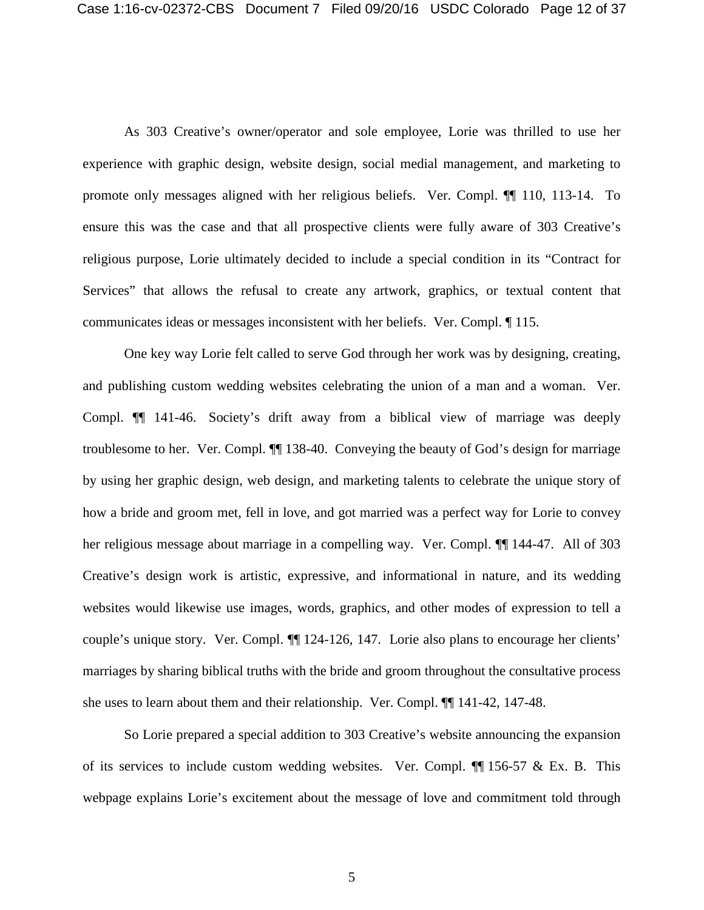As 303 Creative's owner/operator and sole employee, Lorie was thrilled to use her experience with graphic design, website design, social medial management, and marketing to promote only messages aligned with her religious beliefs. Ver. Compl. ¶¶ 110, 113-14. To ensure this was the case and that all prospective clients were fully aware of 303 Creative's religious purpose, Lorie ultimately decided to include a special condition in its "Contract for Services" that allows the refusal to create any artwork, graphics, or textual content that communicates ideas or messages inconsistent with her beliefs. Ver. Compl. ¶ 115.

One key way Lorie felt called to serve God through her work was by designing, creating, and publishing custom wedding websites celebrating the union of a man and a woman. Ver. Compl. ¶¶ 141-46. Society's drift away from a biblical view of marriage was deeply troublesome to her. Ver. Compl. ¶¶ 138-40. Conveying the beauty of God's design for marriage by using her graphic design, web design, and marketing talents to celebrate the unique story of how a bride and groom met, fell in love, and got married was a perfect way for Lorie to convey her religious message about marriage in a compelling way. Ver. Compl.  $\P$  144-47. All of 303 Creative's design work is artistic, expressive, and informational in nature, and its wedding websites would likewise use images, words, graphics, and other modes of expression to tell a couple's unique story. Ver. Compl. ¶¶ 124-126, 147. Lorie also plans to encourage her clients' marriages by sharing biblical truths with the bride and groom throughout the consultative process she uses to learn about them and their relationship. Ver. Compl. ¶¶ 141-42, 147-48.

So Lorie prepared a special addition to 303 Creative's website announcing the expansion of its services to include custom wedding websites. Ver. Compl.  $\P\P$  156-57 & Ex. B. This webpage explains Lorie's excitement about the message of love and commitment told through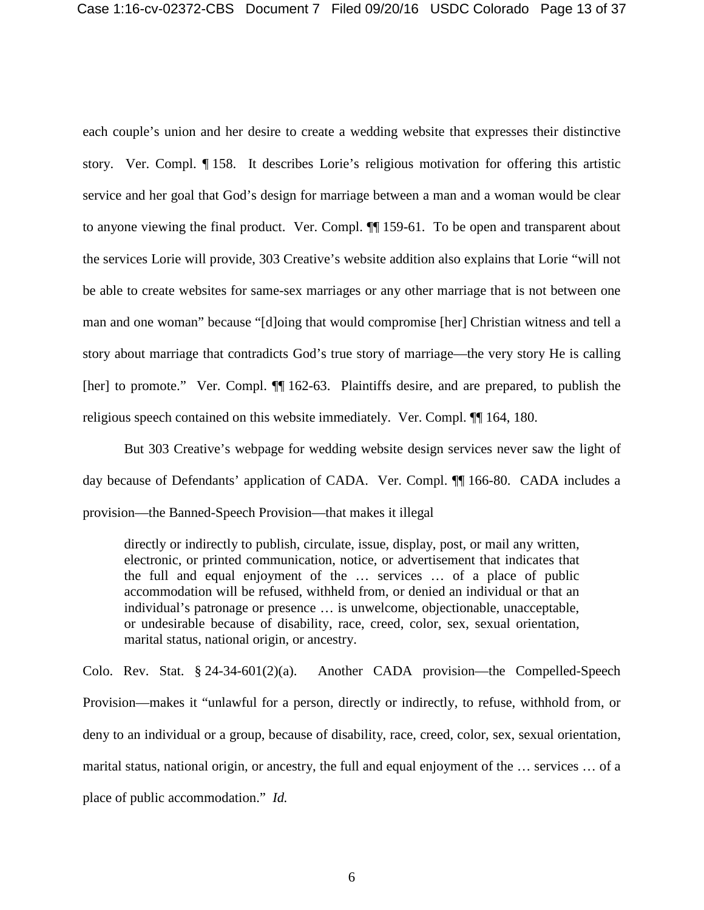each couple's union and her desire to create a wedding website that expresses their distinctive story. Ver. Compl. ¶ 158. It describes Lorie's religious motivation for offering this artistic service and her goal that God's design for marriage between a man and a woman would be clear to anyone viewing the final product. Ver. Compl. ¶¶ 159-61. To be open and transparent about the services Lorie will provide, 303 Creative's website addition also explains that Lorie "will not be able to create websites for same-sex marriages or any other marriage that is not between one man and one woman" because "[d]oing that would compromise [her] Christian witness and tell a story about marriage that contradicts God's true story of marriage—the very story He is calling [her] to promote." Ver. Compl. ¶¶ 162-63. Plaintiffs desire, and are prepared, to publish the religious speech contained on this website immediately. Ver. Compl. ¶¶ 164, 180.

But 303 Creative's webpage for wedding website design services never saw the light of day because of Defendants' application of CADA. Ver. Compl. ¶¶ 166-80. CADA includes a provision—the Banned-Speech Provision—that makes it illegal

directly or indirectly to publish, circulate, issue, display, post, or mail any written, electronic, or printed communication, notice, or advertisement that indicates that the full and equal enjoyment of the … services … of a place of public accommodation will be refused, withheld from, or denied an individual or that an individual's patronage or presence … is unwelcome, objectionable, unacceptable, or undesirable because of disability, race, creed, color, sex, sexual orientation, marital status, national origin, or ancestry.

Colo. Rev. Stat. § 24-34-601(2)(a). Another CADA provision—the Compelled-Speech Provision—makes it "unlawful for a person, directly or indirectly, to refuse, withhold from, or deny to an individual or a group, because of disability, race, creed, color, sex, sexual orientation, marital status, national origin, or ancestry, the full and equal enjoyment of the … services … of a place of public accommodation." *Id.*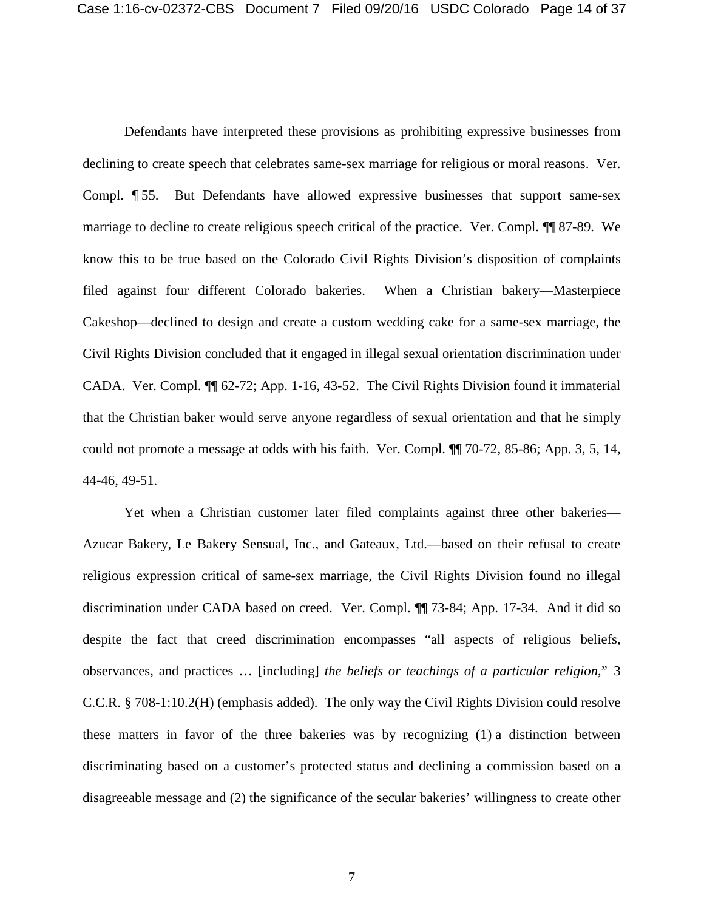Defendants have interpreted these provisions as prohibiting expressive businesses from declining to create speech that celebrates same-sex marriage for religious or moral reasons. Ver. Compl. ¶ 55. But Defendants have allowed expressive businesses that support same-sex marriage to decline to create religious speech critical of the practice. Ver. Compl. ¶¶ 87-89. We know this to be true based on the Colorado Civil Rights Division's disposition of complaints filed against four different Colorado bakeries. When a Christian bakery—Masterpiece Cakeshop—declined to design and create a custom wedding cake for a same-sex marriage, the Civil Rights Division concluded that it engaged in illegal sexual orientation discrimination under CADA. Ver. Compl. ¶¶ 62-72; App. 1-16, 43-52. The Civil Rights Division found it immaterial that the Christian baker would serve anyone regardless of sexual orientation and that he simply could not promote a message at odds with his faith. Ver. Compl. ¶¶ 70-72, 85-86; App. 3, 5, 14, 44-46, 49-51.

Yet when a Christian customer later filed complaints against three other bakeries— Azucar Bakery, Le Bakery Sensual, Inc., and Gateaux, Ltd.—based on their refusal to create religious expression critical of same-sex marriage, the Civil Rights Division found no illegal discrimination under CADA based on creed. Ver. Compl. ¶¶ 73-84; App. 17-34. And it did so despite the fact that creed discrimination encompasses "all aspects of religious beliefs, observances, and practices … [including] *the beliefs or teachings of a particular religion*," 3 C.C.R. § 708-1:10.2(H) (emphasis added). The only way the Civil Rights Division could resolve these matters in favor of the three bakeries was by recognizing (1) a distinction between discriminating based on a customer's protected status and declining a commission based on a disagreeable message and (2) the significance of the secular bakeries' willingness to create other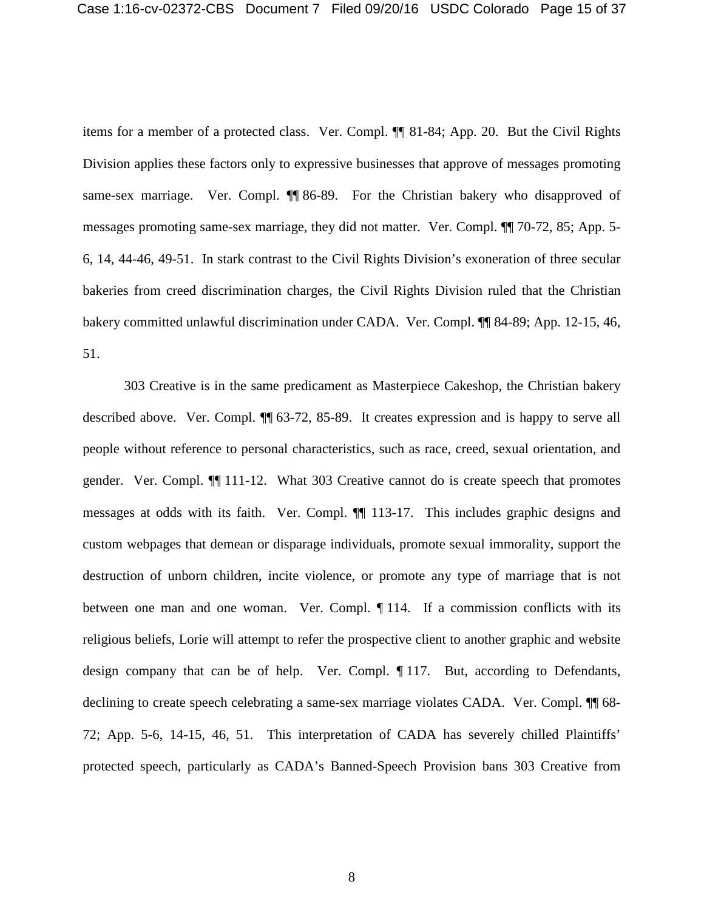items for a member of a protected class. Ver. Compl. ¶¶ 81-84; App. 20. But the Civil Rights Division applies these factors only to expressive businesses that approve of messages promoting same-sex marriage. Ver. Compl. ¶ 86-89. For the Christian bakery who disapproved of messages promoting same-sex marriage, they did not matter. Ver. Compl. ¶¶ 70-72, 85; App. 5- 6, 14, 44-46, 49-51. In stark contrast to the Civil Rights Division's exoneration of three secular bakeries from creed discrimination charges, the Civil Rights Division ruled that the Christian bakery committed unlawful discrimination under CADA. Ver. Compl. ¶¶ 84-89; App. 12-15, 46, 51.

303 Creative is in the same predicament as Masterpiece Cakeshop, the Christian bakery described above. Ver. Compl. ¶¶ 63-72, 85-89. It creates expression and is happy to serve all people without reference to personal characteristics, such as race, creed, sexual orientation, and gender. Ver. Compl. ¶¶ 111-12. What 303 Creative cannot do is create speech that promotes messages at odds with its faith. Ver. Compl. ¶¶ 113-17. This includes graphic designs and custom webpages that demean or disparage individuals, promote sexual immorality, support the destruction of unborn children, incite violence, or promote any type of marriage that is not between one man and one woman. Ver. Compl. ¶ 114. If a commission conflicts with its religious beliefs, Lorie will attempt to refer the prospective client to another graphic and website design company that can be of help. Ver. Compl. ¶ 117. But, according to Defendants, declining to create speech celebrating a same-sex marriage violates CADA. Ver. Compl.  $\P$  68-72; App. 5-6, 14-15, 46, 51. This interpretation of CADA has severely chilled Plaintiffs' protected speech, particularly as CADA's Banned-Speech Provision bans 303 Creative from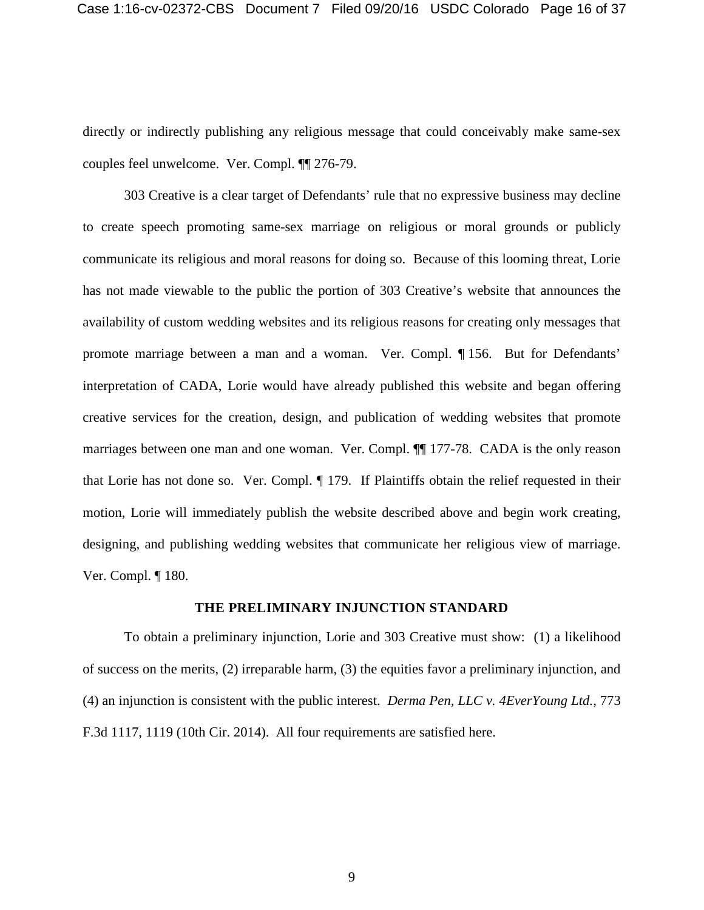directly or indirectly publishing any religious message that could conceivably make same-sex couples feel unwelcome. Ver. Compl. ¶¶ 276-79.

303 Creative is a clear target of Defendants' rule that no expressive business may decline to create speech promoting same-sex marriage on religious or moral grounds or publicly communicate its religious and moral reasons for doing so. Because of this looming threat, Lorie has not made viewable to the public the portion of 303 Creative's website that announces the availability of custom wedding websites and its religious reasons for creating only messages that promote marriage between a man and a woman. Ver. Compl. ¶ 156. But for Defendants' interpretation of CADA, Lorie would have already published this website and began offering creative services for the creation, design, and publication of wedding websites that promote marriages between one man and one woman. Ver. Compl. ¶¶ 177-78. CADA is the only reason that Lorie has not done so. Ver. Compl. ¶ 179. If Plaintiffs obtain the relief requested in their motion, Lorie will immediately publish the website described above and begin work creating, designing, and publishing wedding websites that communicate her religious view of marriage. Ver. Compl. ¶ 180.

### **THE PRELIMINARY INJUNCTION STANDARD**

<span id="page-25-0"></span>To obtain a preliminary injunction, Lorie and 303 Creative must show: (1) a likelihood of success on the merits, (2) irreparable harm, (3) the equities favor a preliminary injunction, and (4) an injunction is consistent with the public interest. *Derma Pen, LLC v. 4EverYoung Ltd.*, 773 F.3d 1117, 1119 (10th Cir. 2014). All four requirements are satisfied here.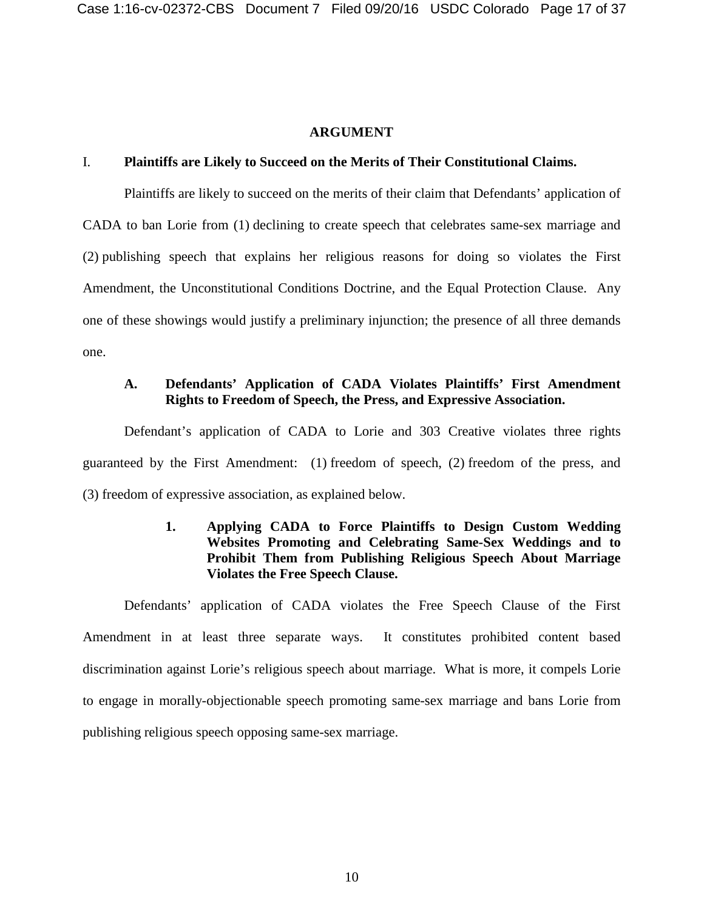#### **ARGUMENT**

#### <span id="page-26-1"></span><span id="page-26-0"></span>I. **Plaintiffs are Likely to Succeed on the Merits of Their Constitutional Claims.**

Plaintiffs are likely to succeed on the merits of their claim that Defendants' application of CADA to ban Lorie from (1) declining to create speech that celebrates same-sex marriage and (2) publishing speech that explains her religious reasons for doing so violates the First Amendment, the Unconstitutional Conditions Doctrine, and the Equal Protection Clause. Any one of these showings would justify a preliminary injunction; the presence of all three demands one.

### <span id="page-26-2"></span>**A. Defendants' Application of CADA Violates Plaintiffs' First Amendment Rights to Freedom of Speech, the Press, and Expressive Association.**

Defendant's application of CADA to Lorie and 303 Creative violates three rights guaranteed by the First Amendment: (1) freedom of speech, (2) freedom of the press, and (3) freedom of expressive association, as explained below.

# **1. Applying CADA to Force Plaintiffs to Design Custom Wedding Websites Promoting and Celebrating Same-Sex Weddings and to Prohibit Them from Publishing Religious Speech About Marriage Violates the Free Speech Clause.**

<span id="page-26-3"></span>Defendants' application of CADA violates the Free Speech Clause of the First Amendment in at least three separate ways. It constitutes prohibited content based discrimination against Lorie's religious speech about marriage. What is more, it compels Lorie to engage in morally-objectionable speech promoting same-sex marriage and bans Lorie from publishing religious speech opposing same-sex marriage.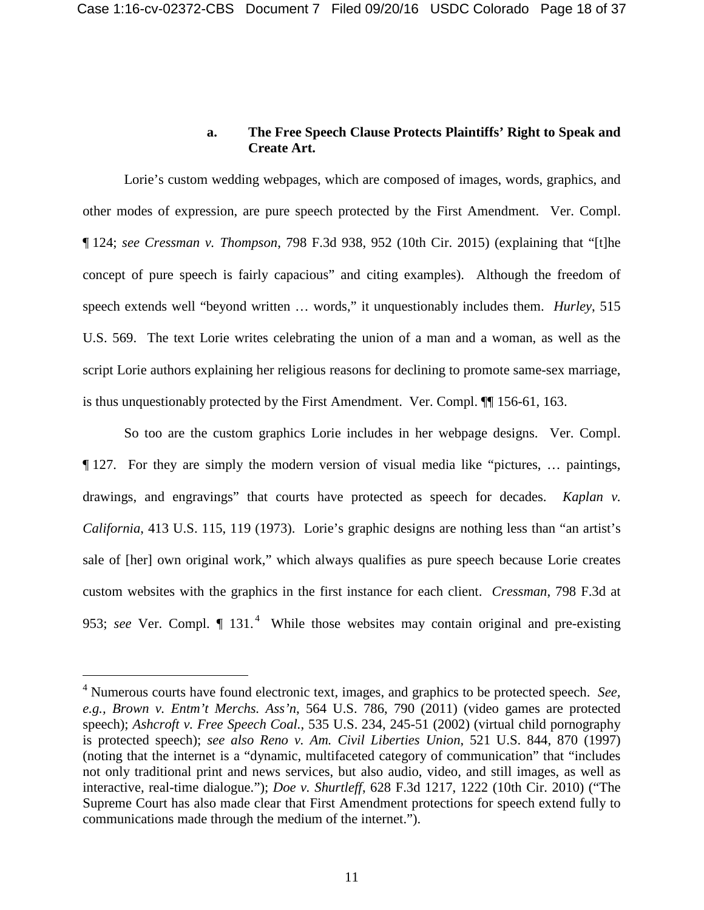## **a. The Free Speech Clause Protects Plaintiffs' Right to Speak and Create Art.**

Lorie's custom wedding webpages, which are composed of images, words, graphics, and other modes of expression, are pure speech protected by the First Amendment. Ver. Compl. ¶ 124; *see Cressman v. Thompson*, 798 F.3d 938, 952 (10th Cir. 2015) (explaining that "[t]he concept of pure speech is fairly capacious" and citing examples). Although the freedom of speech extends well "beyond written … words," it unquestionably includes them. *Hurley*, 515 U.S. 569. The text Lorie writes celebrating the union of a man and a woman, as well as the script Lorie authors explaining her religious reasons for declining to promote same-sex marriage, is thus unquestionably protected by the First Amendment. Ver. Compl. ¶¶ 156-61, 163.

So too are the custom graphics Lorie includes in her webpage designs. Ver. Compl. ¶ 127. For they are simply the modern version of visual media like "pictures, … paintings, drawings, and engravings" that courts have protected as speech for decades. *Kaplan v. California*, 413 U.S. 115, 119 (1973). Lorie's graphic designs are nothing less than "an artist's sale of [her] own original work," which always qualifies as pure speech because Lorie creates custom websites with the graphics in the first instance for each client. *Cressman*, 798 F.3d at 953; *see* Ver. Compl. ¶ 131. [4](#page-27-0) While those websites may contain original and pre-existing

<span id="page-27-0"></span> <sup>4</sup> Numerous courts have found electronic text, images, and graphics to be protected speech. *See, e.g., Brown v. Entm't Merchs. Ass'n*, 564 U.S. 786, 790 (2011) (video games are protected speech); *Ashcroft v. Free Speech Coal.*, 535 U.S. 234, 245-51 (2002) (virtual child pornography is protected speech); *see also Reno v. Am. Civil Liberties Union*, 521 U.S. 844, 870 (1997) (noting that the internet is a "dynamic, multifaceted category of communication" that "includes not only traditional print and news services, but also audio, video, and still images, as well as interactive, real-time dialogue."); *Doe v. Shurtleff*, 628 F.3d 1217, 1222 (10th Cir. 2010) ("The Supreme Court has also made clear that First Amendment protections for speech extend fully to communications made through the medium of the internet.").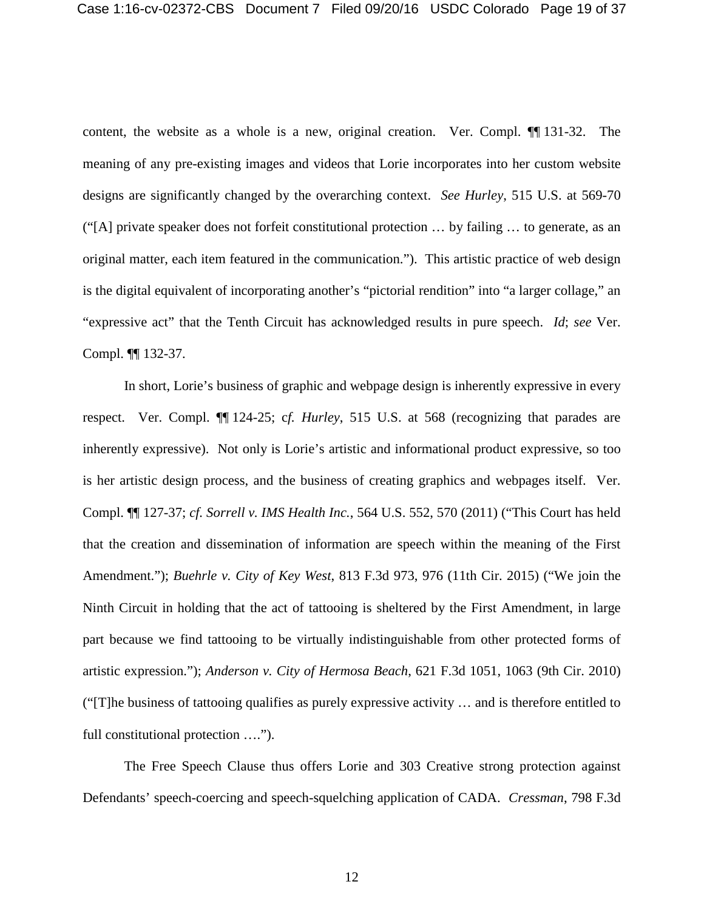content, the website as a whole is a new, original creation. Ver. Compl. ¶¶ 131-32. The meaning of any pre-existing images and videos that Lorie incorporates into her custom website designs are significantly changed by the overarching context. *See Hurley*, 515 U.S. at 569-70 ("[A] private speaker does not forfeit constitutional protection … by failing … to generate, as an original matter, each item featured in the communication."). This artistic practice of web design is the digital equivalent of incorporating another's "pictorial rendition" into "a larger collage," an "expressive act" that the Tenth Circuit has acknowledged results in pure speech. *Id*; *see* Ver. Compl. ¶¶ 132-37.

In short, Lorie's business of graphic and webpage design is inherently expressive in every respect. Ver. Compl. ¶¶ 124-25; c*f. Hurley*, 515 U.S. at 568 (recognizing that parades are inherently expressive). Not only is Lorie's artistic and informational product expressive, so too is her artistic design process, and the business of creating graphics and webpages itself. Ver. Compl. ¶¶ 127-37; *cf. Sorrell v. IMS Health Inc.*, 564 U.S. 552, 570 (2011) ("This Court has held that the creation and dissemination of information are speech within the meaning of the First Amendment."); *Buehrle v. City of Key West*, 813 F.3d 973, 976 (11th Cir. 2015) ("We join the Ninth Circuit in holding that the act of tattooing is sheltered by the First Amendment, in large part because we find tattooing to be virtually indistinguishable from other protected forms of artistic expression."); *Anderson v. City of Hermosa Beach*, 621 F.3d 1051, 1063 (9th Cir. 2010) ("[T]he business of tattooing qualifies as purely expressive activity … and is therefore entitled to full constitutional protection ….").

The Free Speech Clause thus offers Lorie and 303 Creative strong protection against Defendants' speech-coercing and speech-squelching application of CADA. *Cressman*, 798 F.3d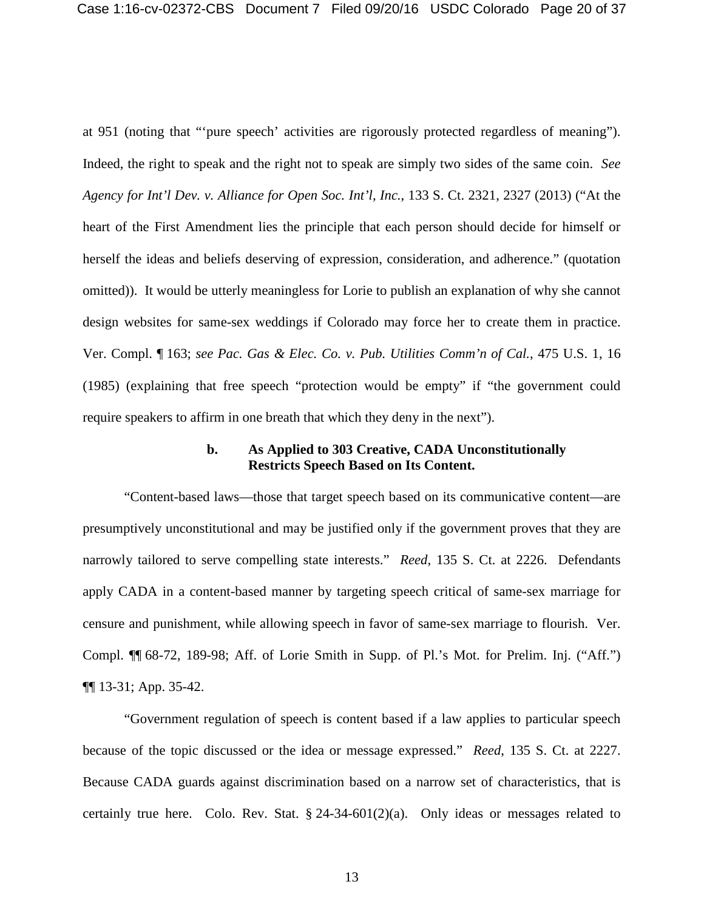at 951 (noting that "'pure speech' activities are rigorously protected regardless of meaning"). Indeed, the right to speak and the right not to speak are simply two sides of the same coin. *See Agency for Int'l Dev. v. Alliance for Open Soc. Int'l, Inc.*, 133 S. Ct. 2321, 2327 (2013) ("At the heart of the First Amendment lies the principle that each person should decide for himself or herself the ideas and beliefs deserving of expression, consideration, and adherence." (quotation omitted)). It would be utterly meaningless for Lorie to publish an explanation of why she cannot design websites for same-sex weddings if Colorado may force her to create them in practice. Ver. Compl. ¶ 163; *see Pac. Gas & Elec. Co. v. Pub. Utilities Comm'n of Cal.*, 475 U.S. 1, 16 (1985) (explaining that free speech "protection would be empty" if "the government could require speakers to affirm in one breath that which they deny in the next").

### **b. As Applied to 303 Creative, CADA Unconstitutionally Restricts Speech Based on Its Content.**

"Content-based laws—those that target speech based on its communicative content—are presumptively unconstitutional and may be justified only if the government proves that they are narrowly tailored to serve compelling state interests." *Reed*, 135 S. Ct. at 2226. Defendants apply CADA in a content-based manner by targeting speech critical of same-sex marriage for censure and punishment, while allowing speech in favor of same-sex marriage to flourish. Ver. Compl. ¶¶ 68-72, 189-98; Aff. of Lorie Smith in Supp. of Pl.'s Mot. for Prelim. Inj. ("Aff.") ¶¶ 13-31; App. 35-42.

"Government regulation of speech is content based if a law applies to particular speech because of the topic discussed or the idea or message expressed." *Reed*, 135 S. Ct. at 2227. Because CADA guards against discrimination based on a narrow set of characteristics, that is certainly true here. Colo. Rev. Stat. § 24-34-601(2)(a). Only ideas or messages related to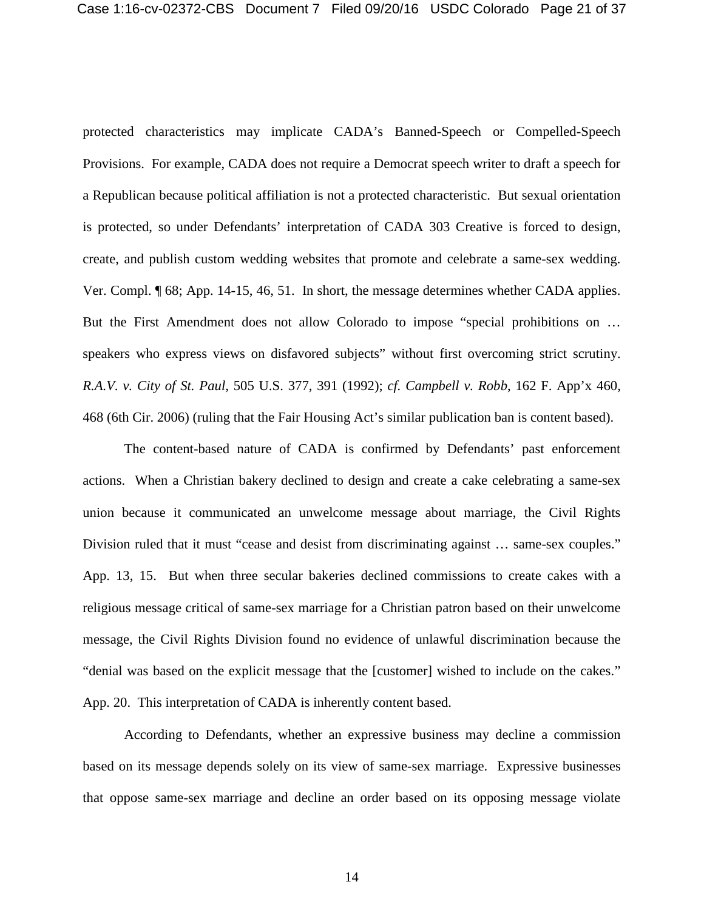protected characteristics may implicate CADA's Banned-Speech or Compelled-Speech Provisions. For example, CADA does not require a Democrat speech writer to draft a speech for a Republican because political affiliation is not a protected characteristic. But sexual orientation is protected, so under Defendants' interpretation of CADA 303 Creative is forced to design, create, and publish custom wedding websites that promote and celebrate a same-sex wedding. Ver. Compl. ¶ 68; App. 14-15, 46, 51. In short, the message determines whether CADA applies. But the First Amendment does not allow Colorado to impose "special prohibitions on … speakers who express views on disfavored subjects" without first overcoming strict scrutiny. *R.A.V. v. City of St. Paul*, 505 U.S. 377, 391 (1992); *cf. Campbell v. Robb*, 162 F. App'x 460, 468 (6th Cir. 2006) (ruling that the Fair Housing Act's similar publication ban is content based).

The content-based nature of CADA is confirmed by Defendants' past enforcement actions. When a Christian bakery declined to design and create a cake celebrating a same-sex union because it communicated an unwelcome message about marriage, the Civil Rights Division ruled that it must "cease and desist from discriminating against ... same-sex couples." App. 13, 15. But when three secular bakeries declined commissions to create cakes with a religious message critical of same-sex marriage for a Christian patron based on their unwelcome message, the Civil Rights Division found no evidence of unlawful discrimination because the "denial was based on the explicit message that the [customer] wished to include on the cakes." App. 20. This interpretation of CADA is inherently content based.

According to Defendants, whether an expressive business may decline a commission based on its message depends solely on its view of same-sex marriage. Expressive businesses that oppose same-sex marriage and decline an order based on its opposing message violate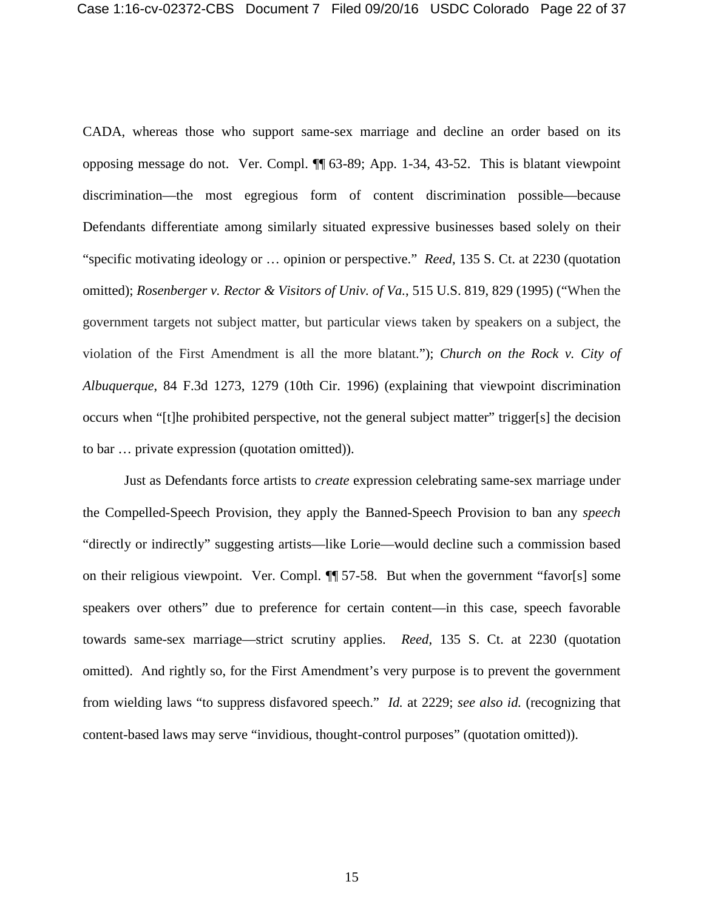CADA, whereas those who support same-sex marriage and decline an order based on its opposing message do not. Ver. Compl. ¶¶ 63-89; App. 1-34, 43-52. This is blatant viewpoint discrimination—the most egregious form of content discrimination possible—because Defendants differentiate among similarly situated expressive businesses based solely on their "specific motivating ideology or … opinion or perspective." *Reed*, 135 S. Ct. at 2230 (quotation omitted); *Rosenberger v. Rector & Visitors of Univ. of Va.*, 515 U.S. 819, 829 (1995) ("When the government targets not subject matter, but particular views taken by speakers on a subject, the violation of the First Amendment is all the more blatant."); *Church on the Rock v. City of Albuquerque*, 84 F.3d 1273, 1279 (10th Cir. 1996) (explaining that viewpoint discrimination occurs when "[t]he prohibited perspective, not the general subject matter" trigger[s] the decision to bar … private expression (quotation omitted)).

Just as Defendants force artists to *create* expression celebrating same-sex marriage under the Compelled-Speech Provision, they apply the Banned-Speech Provision to ban any *speech* "directly or indirectly" suggesting artists—like Lorie—would decline such a commission based on their religious viewpoint. Ver. Compl. ¶¶ 57-58.But when the government "favor[s] some speakers over others" due to preference for certain content—in this case, speech favorable towards same-sex marriage—strict scrutiny applies. *Reed*, 135 S. Ct. at 2230 (quotation omitted). And rightly so, for the First Amendment's very purpose is to prevent the government from wielding laws "to suppress disfavored speech." *Id.* at 2229; *see also id.* (recognizing that content-based laws may serve "invidious, thought-control purposes" (quotation omitted)).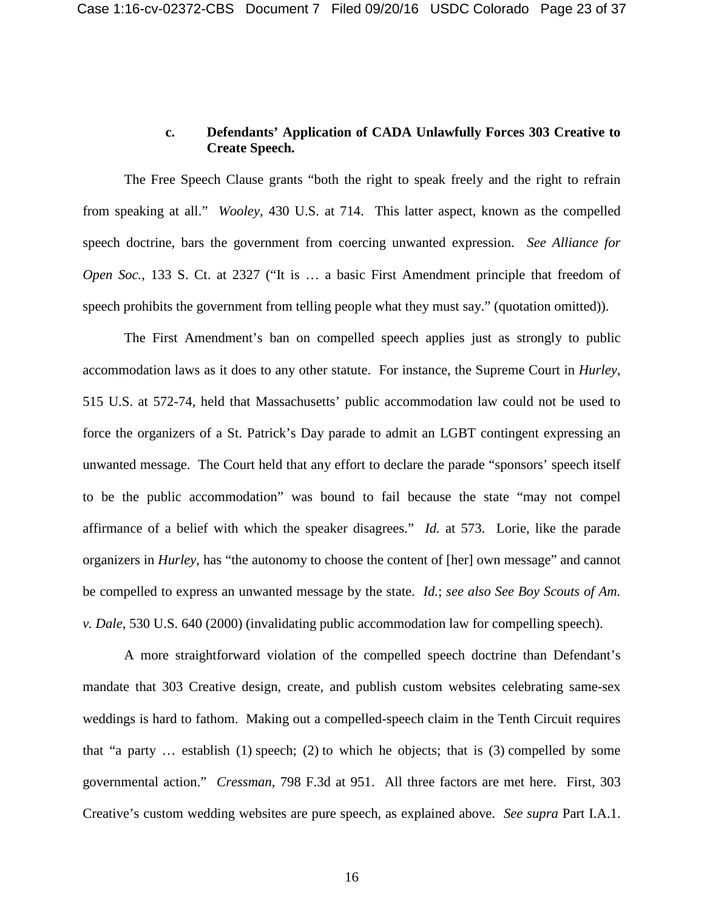# **c. Defendants' Application of CADA Unlawfully Forces 303 Creative to Create Speech.**

The Free Speech Clause grants "both the right to speak freely and the right to refrain from speaking at all." *Wooley*, 430 U.S. at 714. This latter aspect, known as the compelled speech doctrine, bars the government from coercing unwanted expression. *See Alliance for Open Soc.*, 133 S. Ct. at 2327 ("It is … a basic First Amendment principle that freedom of speech prohibits the government from telling people what they must say." (quotation omitted)).

The First Amendment's ban on compelled speech applies just as strongly to public accommodation laws as it does to any other statute. For instance, the Supreme Court in *Hurley,*  515 U.S. at 572-74, held that Massachusetts' public accommodation law could not be used to force the organizers of a St. Patrick's Day parade to admit an LGBT contingent expressing an unwanted message. The Court held that any effort to declare the parade "sponsors' speech itself to be the public accommodation" was bound to fail because the state "may not compel affirmance of a belief with which the speaker disagrees." *Id.* at 573. Lorie, like the parade organizers in *Hurley*, has "the autonomy to choose the content of [her] own message" and cannot be compelled to express an unwanted message by the state. *Id.*; *see also See Boy Scouts of Am. v. Dale*, 530 U.S. 640 (2000) (invalidating public accommodation law for compelling speech).

A more straightforward violation of the compelled speech doctrine than Defendant's mandate that 303 Creative design, create, and publish custom websites celebrating same-sex weddings is hard to fathom. Making out a compelled-speech claim in the Tenth Circuit requires that "a party … establish (1) speech; (2) to which he objects; that is (3) compelled by some governmental action." *Cressman*, 798 F.3d at 951. All three factors are met here. First, 303 Creative's custom wedding websites are pure speech, as explained above. *See supra* Part I.A.1.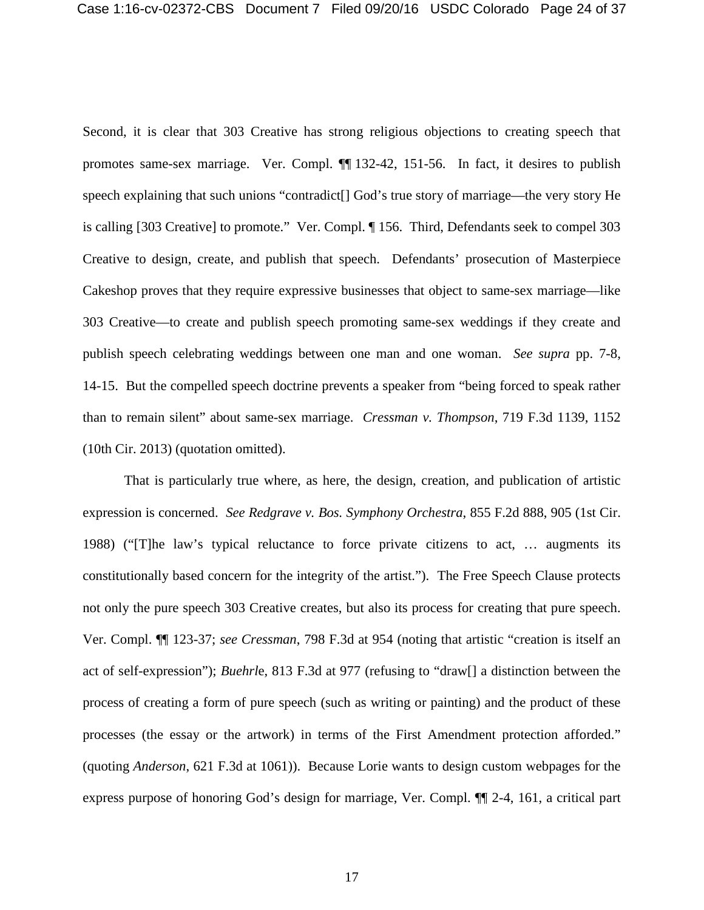Second, it is clear that 303 Creative has strong religious objections to creating speech that promotes same-sex marriage. Ver. Compl. ¶¶ 132-42, 151-56. In fact, it desires to publish speech explaining that such unions "contradict[] God's true story of marriage—the very story He is calling [303 Creative] to promote." Ver. Compl. ¶ 156. Third, Defendants seek to compel 303 Creative to design, create, and publish that speech. Defendants' prosecution of Masterpiece Cakeshop proves that they require expressive businesses that object to same-sex marriage—like 303 Creative—to create and publish speech promoting same-sex weddings if they create and publish speech celebrating weddings between one man and one woman. *See supra* pp. 7-8, 14-15. But the compelled speech doctrine prevents a speaker from "being forced to speak rather than to remain silent" about same-sex marriage. *Cressman v. Thompson*, 719 F.3d 1139, 1152 (10th Cir. 2013) (quotation omitted).

That is particularly true where, as here, the design, creation, and publication of artistic expression is concerned. *See Redgrave v. Bos. Symphony Orchestra*, 855 F.2d 888, 905 (1st Cir. 1988) ("[T]he law's typical reluctance to force private citizens to act, … augments its constitutionally based concern for the integrity of the artist."). The Free Speech Clause protects not only the pure speech 303 Creative creates, but also its process for creating that pure speech. Ver. Compl. ¶¶ 123-37; *see Cressman*, 798 F.3d at 954 (noting that artistic "creation is itself an act of self-expression"); *Buehrl*e, 813 F.3d at 977 (refusing to "draw[] a distinction between the process of creating a form of pure speech (such as writing or painting) and the product of these processes (the essay or the artwork) in terms of the First Amendment protection afforded." (quoting *Anderson*, 621 F.3d at 1061)). Because Lorie wants to design custom webpages for the express purpose of honoring God's design for marriage, Ver. Compl. ¶¶ 2-4, 161, a critical part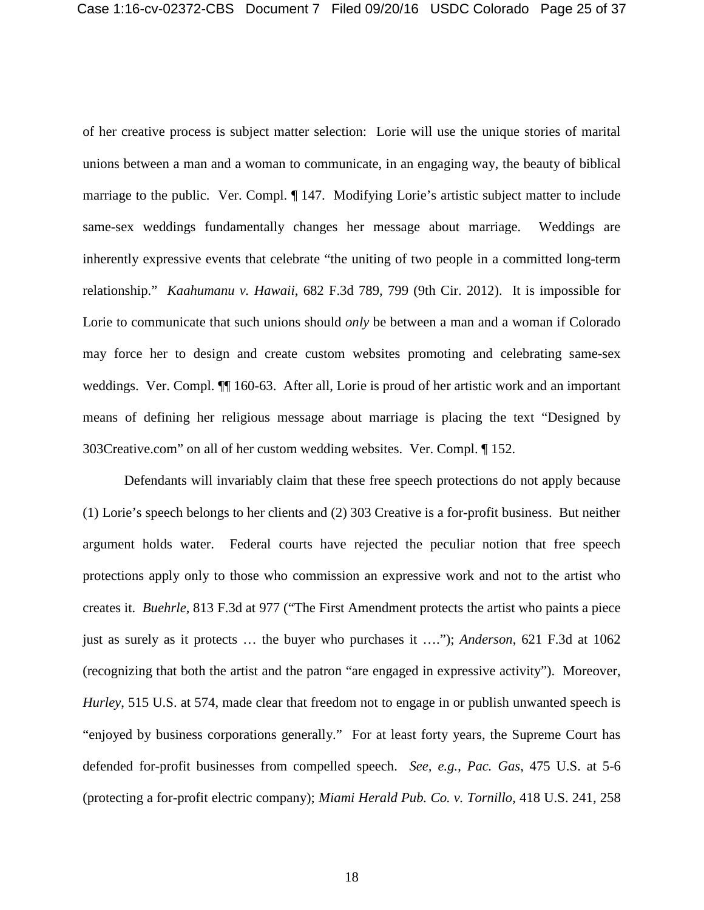of her creative process is subject matter selection: Lorie will use the unique stories of marital unions between a man and a woman to communicate, in an engaging way, the beauty of biblical marriage to the public. Ver. Compl. ¶ 147. Modifying Lorie's artistic subject matter to include same-sex weddings fundamentally changes her message about marriage. Weddings are inherently expressive events that celebrate "the uniting of two people in a committed long-term relationship." *Kaahumanu v. Hawaii*, 682 F.3d 789, 799 (9th Cir. 2012). It is impossible for Lorie to communicate that such unions should *only* be between a man and a woman if Colorado may force her to design and create custom websites promoting and celebrating same-sex weddings. Ver. Compl.  $\P$  160-63. After all, Lorie is proud of her artistic work and an important means of defining her religious message about marriage is placing the text "Designed by 303Creative.com" on all of her custom wedding websites. Ver. Compl. ¶ 152.

Defendants will invariably claim that these free speech protections do not apply because (1) Lorie's speech belongs to her clients and (2) 303 Creative is a for-profit business. But neither argument holds water. Federal courts have rejected the peculiar notion that free speech protections apply only to those who commission an expressive work and not to the artist who creates it. *Buehrle*, 813 F.3d at 977 ("The First Amendment protects the artist who paints a piece just as surely as it protects … the buyer who purchases it …."); *Anderson*, 621 F.3d at 1062 (recognizing that both the artist and the patron "are engaged in expressive activity"). Moreover, *Hurley*, 515 U.S. at 574, made clear that freedom not to engage in or publish unwanted speech is "enjoyed by business corporations generally." For at least forty years, the Supreme Court has defended for-profit businesses from compelled speech. *See, e.g.*, *Pac. Gas*, 475 U.S. at 5-6 (protecting a for-profit electric company); *Miami Herald Pub. Co. v. Tornillo*, 418 U.S. 241, 258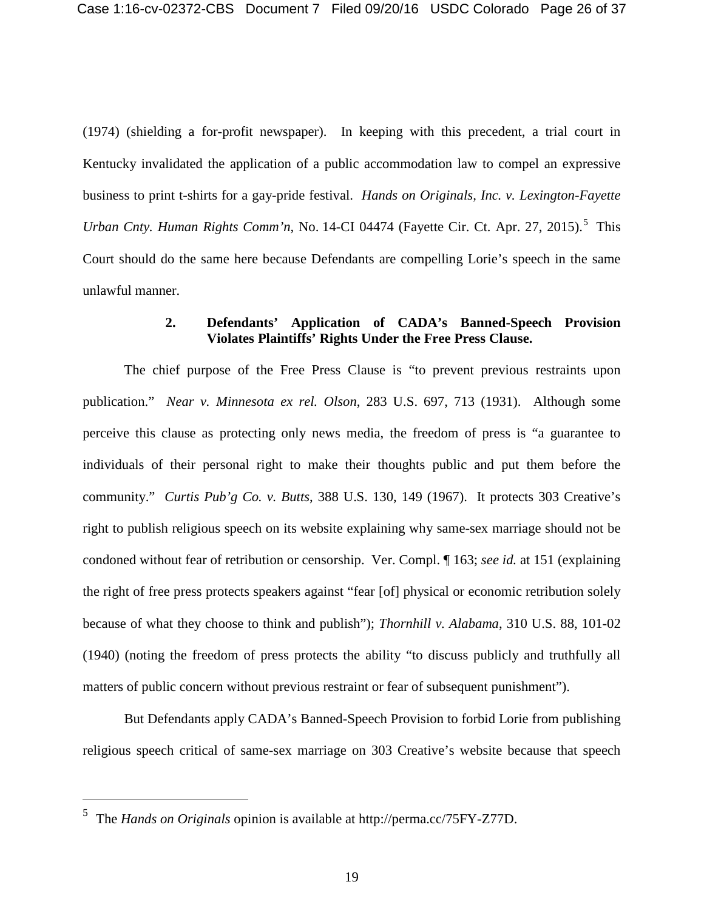(1974) (shielding a for-profit newspaper). In keeping with this precedent, a trial court in Kentucky invalidated the application of a public accommodation law to compel an expressive business to print t-shirts for a gay-pride festival. *Hands on Originals, Inc. v. Lexington-Fayette*  Urban Cnty. Human Rights Comm'n, No. 14-CI 04474 (Fayette Cir. Ct. Apr. 27, 201[5](#page-35-1)).<sup>5</sup> This Court should do the same here because Defendants are compelling Lorie's speech in the same unlawful manner.

### **2. Defendants' Application of CADA's Banned-Speech Provision Violates Plaintiffs' Rights Under the Free Press Clause.**

<span id="page-35-0"></span>The chief purpose of the Free Press Clause is "to prevent previous restraints upon publication." *Near v. Minnesota ex rel. Olson*, 283 U.S. 697, 713 (1931). Although some perceive this clause as protecting only news media, the freedom of press is "a guarantee to individuals of their personal right to make their thoughts public and put them before the community." *Curtis Pub'g Co. v. Butts*, 388 U.S. 130, 149 (1967). It protects 303 Creative's right to publish religious speech on its website explaining why same-sex marriage should not be condoned without fear of retribution or censorship. Ver. Compl. ¶ 163; *see id.* at 151 (explaining the right of free press protects speakers against "fear [of] physical or economic retribution solely because of what they choose to think and publish"); *Thornhill v. Alabama*, 310 U.S. 88, 101-02 (1940) (noting the freedom of press protects the ability "to discuss publicly and truthfully all matters of public concern without previous restraint or fear of subsequent punishment").

But Defendants apply CADA's Banned-Speech Provision to forbid Lorie from publishing religious speech critical of same-sex marriage on 303 Creative's website because that speech

<span id="page-35-1"></span> $\frac{1}{5}$ The *Hands on Originals* opinion is available at http://perma.cc/75FY-Z77D.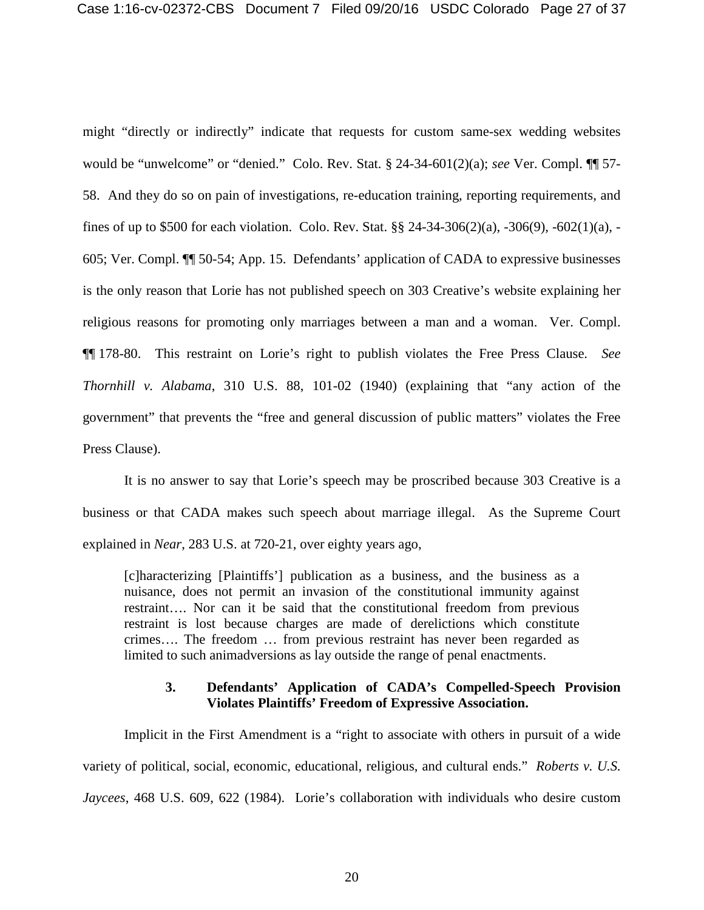might "directly or indirectly" indicate that requests for custom same-sex wedding websites would be "unwelcome" or "denied." Colo. Rev. Stat. § 24-34-601(2)(a); *see* Ver. Compl. ¶¶ 57- 58. And they do so on pain of investigations, re-education training, reporting requirements, and fines of up to \$500 for each violation. Colo. Rev. Stat. §§ 24-34-306(2)(a), -306(9), -602(1)(a), - 605; Ver. Compl. ¶¶ 50-54; App. 15. Defendants' application of CADA to expressive businesses is the only reason that Lorie has not published speech on 303 Creative's website explaining her religious reasons for promoting only marriages between a man and a woman. Ver. Compl. ¶¶ 178-80. This restraint on Lorie's right to publish violates the Free Press Clause. *See Thornhill v. Alabama*, 310 U.S. 88, 101-02 (1940) (explaining that "any action of the government" that prevents the "free and general discussion of public matters" violates the Free Press Clause).

It is no answer to say that Lorie's speech may be proscribed because 303 Creative is a business or that CADA makes such speech about marriage illegal. As the Supreme Court explained in *Near*, 283 U.S. at 720-21, over eighty years ago,

[c]haracterizing [Plaintiffs'] publication as a business, and the business as a nuisance, does not permit an invasion of the constitutional immunity against restraint…. Nor can it be said that the constitutional freedom from previous restraint is lost because charges are made of derelictions which constitute crimes…. The freedom … from previous restraint has never been regarded as limited to such animadversions as lay outside the range of penal enactments.

## **3. Defendants' Application of CADA's Compelled-Speech Provision Violates Plaintiffs' Freedom of Expressive Association.**

<span id="page-36-0"></span>Implicit in the First Amendment is a "right to associate with others in pursuit of a wide variety of political, social, economic, educational, religious, and cultural ends." *Roberts v. U.S. Jaycees*, 468 U.S. 609, 622 (1984). Lorie's collaboration with individuals who desire custom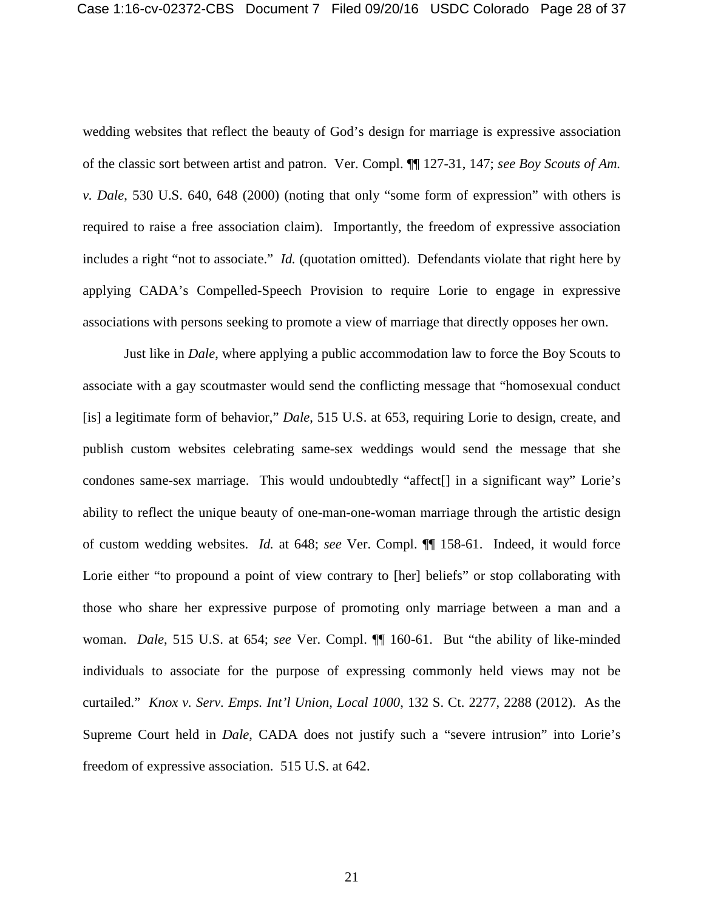wedding websites that reflect the beauty of God's design for marriage is expressive association of the classic sort between artist and patron. Ver. Compl. ¶¶ 127-31, 147; *see Boy Scouts of Am. v. Dale*, 530 U.S. 640, 648 (2000) (noting that only "some form of expression" with others is required to raise a free association claim). Importantly, the freedom of expressive association includes a right "not to associate." *Id.* (quotation omitted). Defendants violate that right here by applying CADA's Compelled-Speech Provision to require Lorie to engage in expressive associations with persons seeking to promote a view of marriage that directly opposes her own.

Just like in *Dale*, where applying a public accommodation law to force the Boy Scouts to associate with a gay scoutmaster would send the conflicting message that "homosexual conduct [is] a legitimate form of behavior," *Dale*, 515 U.S. at 653, requiring Lorie to design, create, and publish custom websites celebrating same-sex weddings would send the message that she condones same-sex marriage. This would undoubtedly "affect[] in a significant way" Lorie's ability to reflect the unique beauty of one-man-one-woman marriage through the artistic design of custom wedding websites. *Id.* at 648; *see* Ver. Compl. ¶¶ 158-61. Indeed, it would force Lorie either "to propound a point of view contrary to [her] beliefs" or stop collaborating with those who share her expressive purpose of promoting only marriage between a man and a woman. *Dale*, 515 U.S. at 654; *see* Ver. Compl. ¶¶ 160-61. But "the ability of like-minded individuals to associate for the purpose of expressing commonly held views may not be curtailed." *Knox v. Serv. Emps. Int'l Union, Local 1000*, 132 S. Ct. 2277, 2288 (2012).As the Supreme Court held in *Dale*, CADA does not justify such a "severe intrusion" into Lorie's freedom of expressive association. 515 U.S. at 642.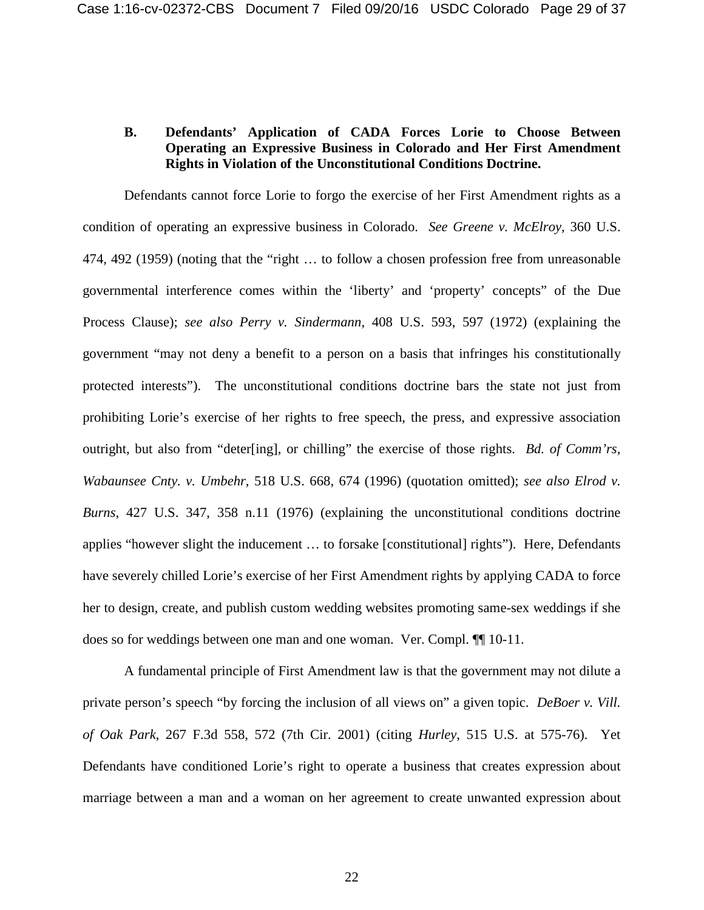# <span id="page-38-0"></span>**B. Defendants' Application of CADA Forces Lorie to Choose Between Operating an Expressive Business in Colorado and Her First Amendment Rights in Violation of the Unconstitutional Conditions Doctrine.**

Defendants cannot force Lorie to forgo the exercise of her First Amendment rights as a condition of operating an expressive business in Colorado. *See Greene v. McElroy*, 360 U.S. 474, 492 (1959) (noting that the "right … to follow a chosen profession free from unreasonable governmental interference comes within the 'liberty' and 'property' concepts" of the Due Process Clause); *see also Perry v. Sindermann*, 408 U.S. 593, 597 (1972) (explaining the government "may not deny a benefit to a person on a basis that infringes his constitutionally protected interests"). The unconstitutional conditions doctrine bars the state not just from prohibiting Lorie's exercise of her rights to free speech, the press, and expressive association outright, but also from "deter[ing], or chilling" the exercise of those rights. *Bd. of Comm'rs, Wabaunsee Cnty. v. Umbehr*, 518 U.S. 668, 674 (1996) (quotation omitted); *see also Elrod v. Burns*, 427 U.S. 347, 358 n.11 (1976) (explaining the unconstitutional conditions doctrine applies "however slight the inducement … to forsake [constitutional] rights"). Here, Defendants have severely chilled Lorie's exercise of her First Amendment rights by applying CADA to force her to design, create, and publish custom wedding websites promoting same-sex weddings if she does so for weddings between one man and one woman. Ver. Compl. ¶¶ 10-11.

A fundamental principle of First Amendment law is that the government may not dilute a private person's speech "by forcing the inclusion of all views on" a given topic. *DeBoer v. Vill. of Oak Park*, 267 F.3d 558, 572 (7th Cir. 2001) (citing *Hurley*, 515 U.S. at 575-76). Yet Defendants have conditioned Lorie's right to operate a business that creates expression about marriage between a man and a woman on her agreement to create unwanted expression about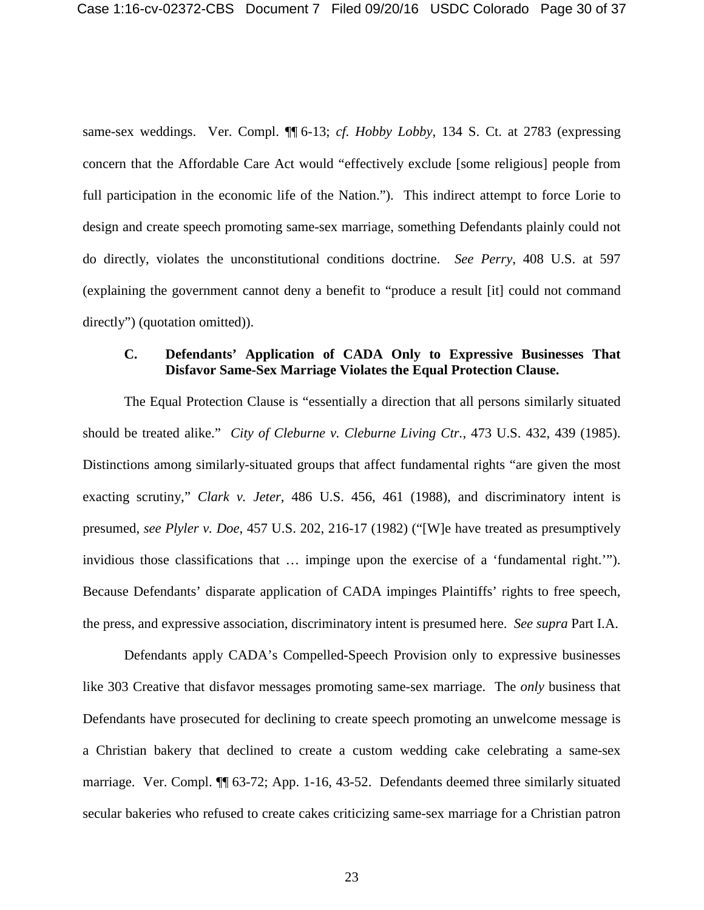same-sex weddings. Ver. Compl. ¶¶ 6-13; *cf. Hobby Lobby*, 134 S. Ct. at 2783 (expressing concern that the Affordable Care Act would "effectively exclude [some religious] people from full participation in the economic life of the Nation."). This indirect attempt to force Lorie to design and create speech promoting same-sex marriage, something Defendants plainly could not do directly, violates the unconstitutional conditions doctrine. *See Perry*, 408 U.S. at 597 (explaining the government cannot deny a benefit to "produce a result [it] could not command directly") (quotation omitted)).

# <span id="page-39-0"></span>**C. Defendants' Application of CADA Only to Expressive Businesses That Disfavor Same-Sex Marriage Violates the Equal Protection Clause.**

The Equal Protection Clause is "essentially a direction that all persons similarly situated should be treated alike." *City of Cleburne v. Cleburne Living Ctr.*, 473 U.S. 432, 439 (1985). Distinctions among similarly-situated groups that affect fundamental rights "are given the most exacting scrutiny," *Clark v. Jeter*, 486 U.S. 456, 461 (1988), and discriminatory intent is presumed, *see Plyler v. Doe*, 457 U.S. 202, 216-17 (1982) ("[W]e have treated as presumptively invidious those classifications that … impinge upon the exercise of a 'fundamental right.'"). Because Defendants' disparate application of CADA impinges Plaintiffs' rights to free speech, the press, and expressive association, discriminatory intent is presumed here. *See supra* Part I.A.

Defendants apply CADA's Compelled-Speech Provision only to expressive businesses like 303 Creative that disfavor messages promoting same-sex marriage. The *only* business that Defendants have prosecuted for declining to create speech promoting an unwelcome message is a Christian bakery that declined to create a custom wedding cake celebrating a same-sex marriage. Ver. Compl. ¶¶ 63-72; App. 1-16, 43-52. Defendants deemed three similarly situated secular bakeries who refused to create cakes criticizing same-sex marriage for a Christian patron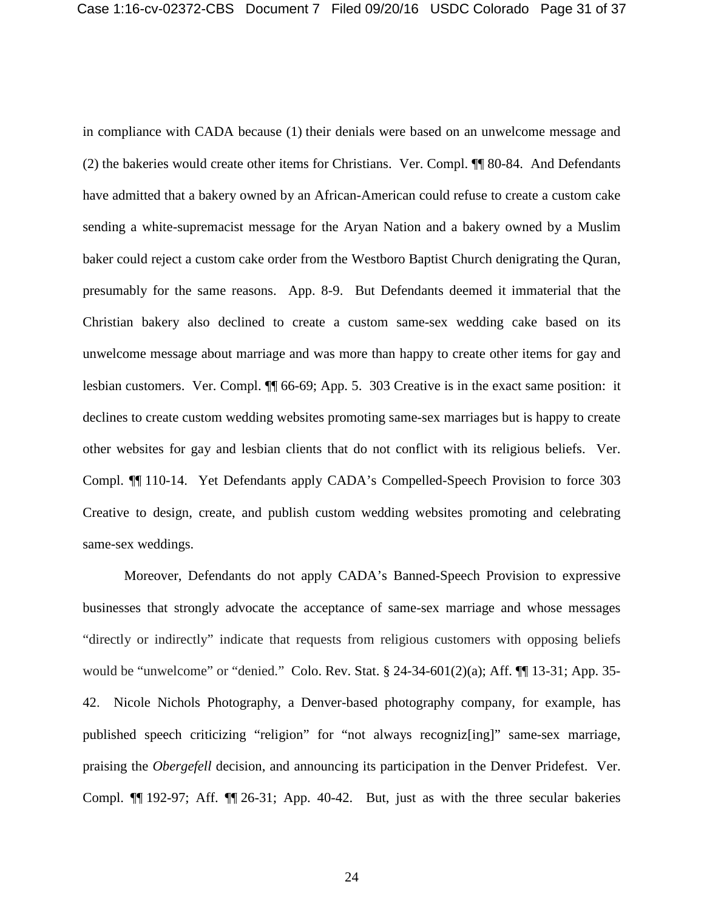in compliance with CADA because (1) their denials were based on an unwelcome message and (2) the bakeries would create other items for Christians. Ver. Compl. ¶¶ 80-84. And Defendants have admitted that a bakery owned by an African-American could refuse to create a custom cake sending a white-supremacist message for the Aryan Nation and a bakery owned by a Muslim baker could reject a custom cake order from the Westboro Baptist Church denigrating the Quran, presumably for the same reasons. App. 8-9. But Defendants deemed it immaterial that the Christian bakery also declined to create a custom same-sex wedding cake based on its unwelcome message about marriage and was more than happy to create other items for gay and lesbian customers. Ver. Compl. ¶¶ 66-69; App. 5. 303 Creative is in the exact same position: it declines to create custom wedding websites promoting same-sex marriages but is happy to create other websites for gay and lesbian clients that do not conflict with its religious beliefs. Ver. Compl. ¶¶ 110-14. Yet Defendants apply CADA's Compelled-Speech Provision to force 303 Creative to design, create, and publish custom wedding websites promoting and celebrating same-sex weddings.

Moreover, Defendants do not apply CADA's Banned-Speech Provision to expressive businesses that strongly advocate the acceptance of same-sex marriage and whose messages "directly or indirectly" indicate that requests from religious customers with opposing beliefs would be "unwelcome" or "denied." Colo. Rev. Stat. § 24-34-601(2)(a); Aff. ¶[13-31; App. 35-42. Nicole Nichols Photography, a Denver-based photography company, for example, has published speech criticizing "religion" for "not always recogniz[ing]" same-sex marriage, praising the *Obergefell* decision, and announcing its participation in the Denver Pridefest. Ver. Compl. ¶¶ 192-97; Aff. ¶¶ 26-31; App. 40-42. But, just as with the three secular bakeries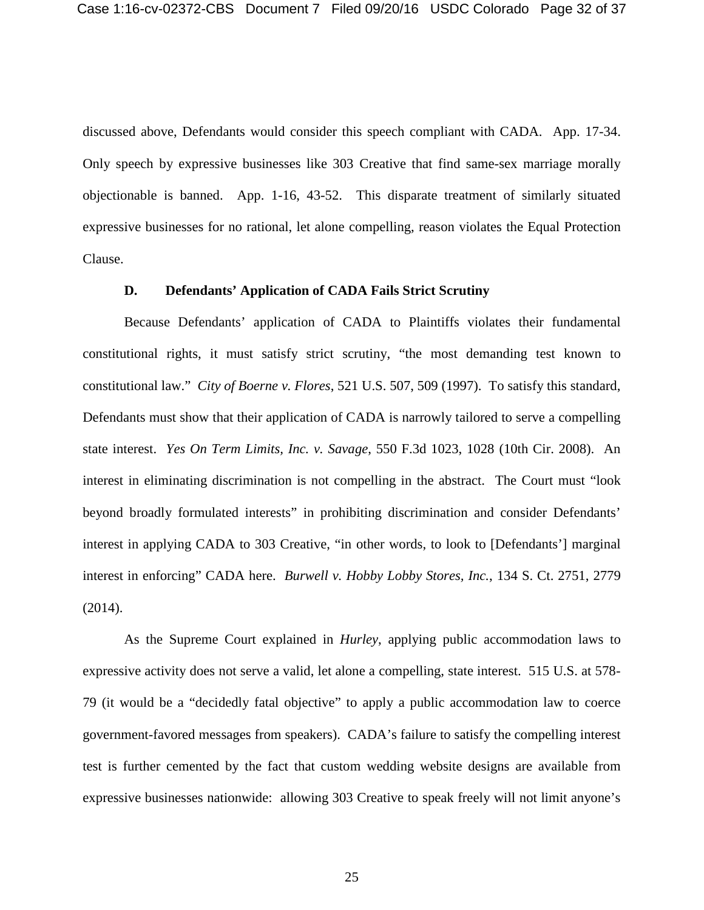discussed above, Defendants would consider this speech compliant with CADA. App. 17-34. Only speech by expressive businesses like 303 Creative that find same-sex marriage morally objectionable is banned. App. 1-16, 43-52. This disparate treatment of similarly situated expressive businesses for no rational, let alone compelling, reason violates the Equal Protection Clause.

#### **D. Defendants' Application of CADA Fails Strict Scrutiny**

<span id="page-41-0"></span>Because Defendants' application of CADA to Plaintiffs violates their fundamental constitutional rights, it must satisfy strict scrutiny, "the most demanding test known to constitutional law." *City of Boerne v. Flores*, 521 U.S. 507, 509 (1997). To satisfy this standard, Defendants must show that their application of CADA is narrowly tailored to serve a compelling state interest. *Yes On Term Limits, Inc. v. Savage*, 550 F.3d 1023, 1028 (10th Cir. 2008). An interest in eliminating discrimination is not compelling in the abstract. The Court must "look beyond broadly formulated interests" in prohibiting discrimination and consider Defendants' interest in applying CADA to 303 Creative, "in other words, to look to [Defendants'] marginal interest in enforcing" CADA here. *Burwell v. Hobby Lobby Stores, Inc.*, 134 S. Ct. 2751, 2779 (2014).

As the Supreme Court explained in *Hurley*, applying public accommodation laws to expressive activity does not serve a valid, let alone a compelling, state interest. 515 U.S. at 578- 79 (it would be a "decidedly fatal objective" to apply a public accommodation law to coerce government-favored messages from speakers). CADA's failure to satisfy the compelling interest test is further cemented by the fact that custom wedding website designs are available from expressive businesses nationwide: allowing 303 Creative to speak freely will not limit anyone's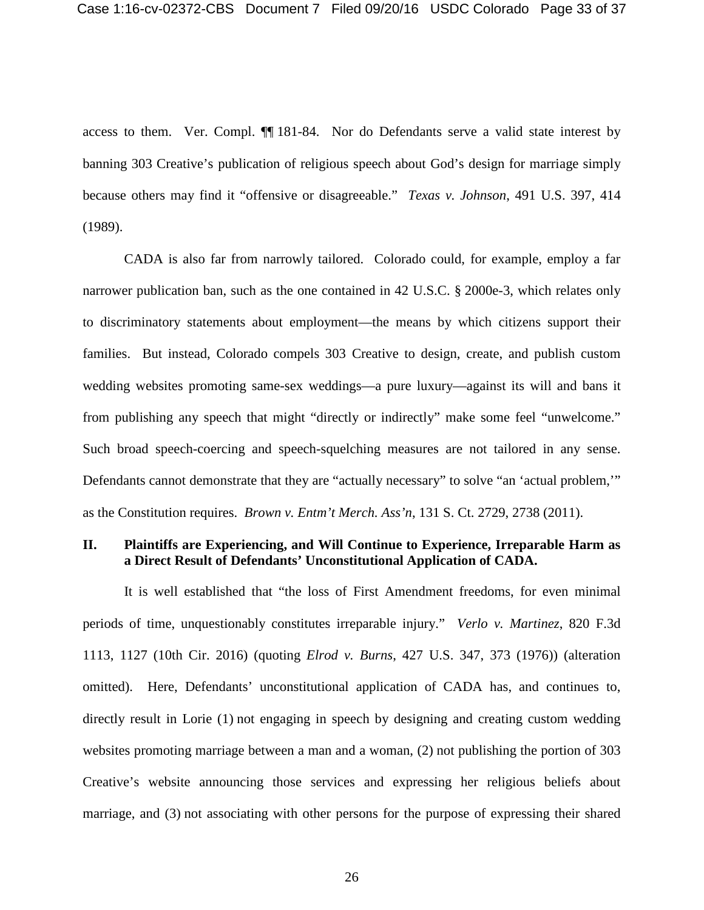access to them. Ver. Compl. ¶¶ 181-84. Nor do Defendants serve a valid state interest by banning 303 Creative's publication of religious speech about God's design for marriage simply because others may find it "offensive or disagreeable." *Texas v. Johnson*, 491 U.S. 397, 414 (1989).

CADA is also far from narrowly tailored. Colorado could, for example, employ a far narrower publication ban, such as the one contained in 42 U.S.C. § 2000e-3, which relates only to discriminatory statements about employment—the means by which citizens support their families. But instead, Colorado compels 303 Creative to design, create, and publish custom wedding websites promoting same-sex weddings—a pure luxury—against its will and bans it from publishing any speech that might "directly or indirectly" make some feel "unwelcome." Such broad speech-coercing and speech-squelching measures are not tailored in any sense. Defendants cannot demonstrate that they are "actually necessary" to solve "an 'actual problem,'" as the Constitution requires. *Brown v. Entm't Merch. Ass'n*, 131 S. Ct. 2729, 2738 (2011).

# <span id="page-42-0"></span>**II. Plaintiffs are Experiencing, and Will Continue to Experience, Irreparable Harm as a Direct Result of Defendants' Unconstitutional Application of CADA.**

It is well established that "the loss of First Amendment freedoms, for even minimal periods of time, unquestionably constitutes irreparable injury." *Verlo v. Martinez*, 820 F.3d 1113, 1127 (10th Cir. 2016) (quoting *Elrod v. Burns*, 427 U.S. 347, 373 (1976)) (alteration omitted). Here, Defendants' unconstitutional application of CADA has, and continues to, directly result in Lorie (1) not engaging in speech by designing and creating custom wedding websites promoting marriage between a man and a woman, (2) not publishing the portion of 303 Creative's website announcing those services and expressing her religious beliefs about marriage, and (3) not associating with other persons for the purpose of expressing their shared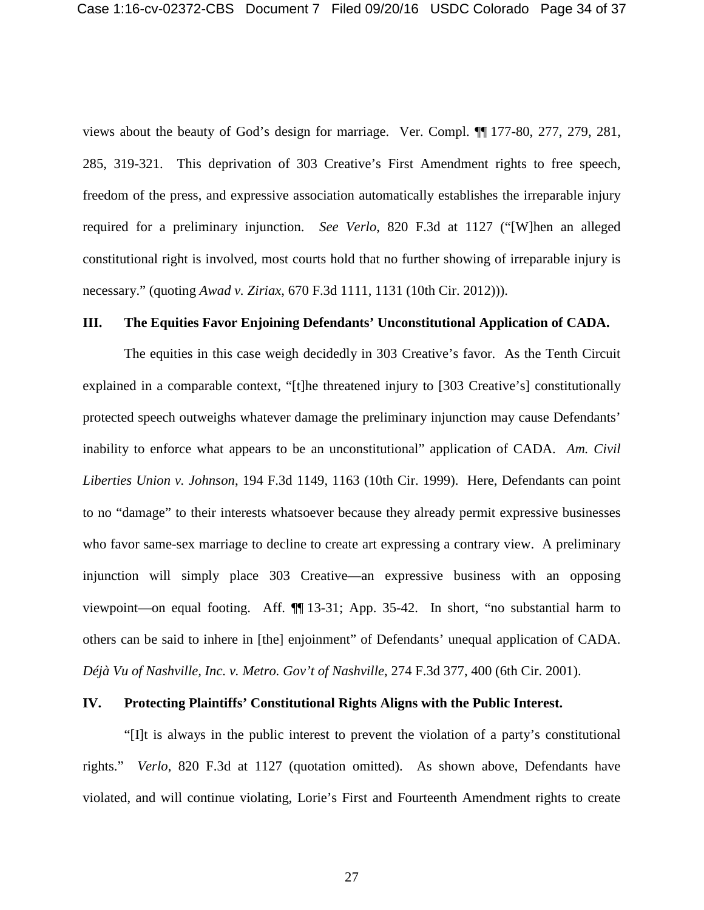views about the beauty of God's design for marriage. Ver. Compl. ¶¶ 177-80, 277, 279, 281, 285, 319-321. This deprivation of 303 Creative's First Amendment rights to free speech, freedom of the press, and expressive association automatically establishes the irreparable injury required for a preliminary injunction. *See Verlo*, 820 F.3d at 1127 ("[W]hen an alleged constitutional right is involved, most courts hold that no further showing of irreparable injury is necessary." (quoting *Awad v. Ziriax*, 670 F.3d 1111, 1131 (10th Cir. 2012))).

### <span id="page-43-0"></span>**III. The Equities Favor Enjoining Defendants' Unconstitutional Application of CADA.**

The equities in this case weigh decidedly in 303 Creative's favor. As the Tenth Circuit explained in a comparable context, "[t]he threatened injury to [303 Creative's] constitutionally protected speech outweighs whatever damage the preliminary injunction may cause Defendants' inability to enforce what appears to be an unconstitutional" application of CADA. *Am. Civil Liberties Union v. Johnson*, 194 F.3d 1149, 1163 (10th Cir. 1999). Here, Defendants can point to no "damage" to their interests whatsoever because they already permit expressive businesses who favor same-sex marriage to decline to create art expressing a contrary view. A preliminary injunction will simply place 303 Creative—an expressive business with an opposing viewpoint—on equal footing. Aff. ¶¶ 13-31; App. 35-42. In short, "no substantial harm to others can be said to inhere in [the] enjoinment" of Defendants' unequal application of CADA. *Déjà Vu of Nashville, Inc. v. Metro. Gov't of Nashville*, 274 F.3d 377, 400 (6th Cir. 2001).

## <span id="page-43-1"></span>**IV. Protecting Plaintiffs' Constitutional Rights Aligns with the Public Interest.**

"[I]t is always in the public interest to prevent the violation of a party's constitutional rights." *Verlo*, 820 F.3d at 1127 (quotation omitted). As shown above, Defendants have violated, and will continue violating, Lorie's First and Fourteenth Amendment rights to create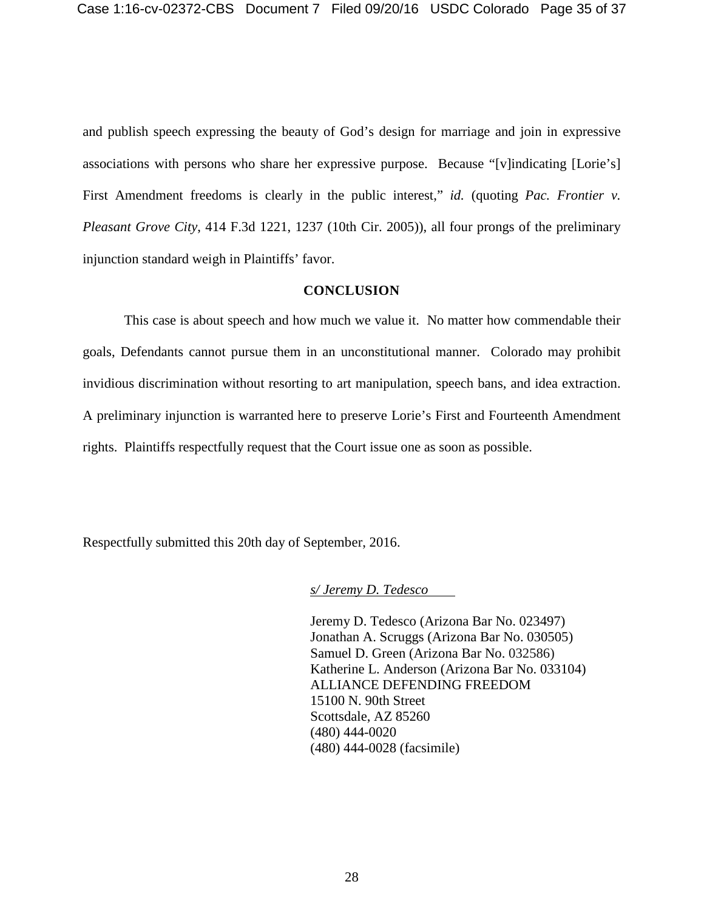and publish speech expressing the beauty of God's design for marriage and join in expressive associations with persons who share her expressive purpose. Because "[v]indicating [Lorie's] First Amendment freedoms is clearly in the public interest," *id.* (quoting *Pac. Frontier v. Pleasant Grove City*, 414 F.3d 1221, 1237 (10th Cir. 2005)), all four prongs of the preliminary injunction standard weigh in Plaintiffs' favor.

# **CONCLUSION**

<span id="page-44-0"></span>This case is about speech and how much we value it. No matter how commendable their goals, Defendants cannot pursue them in an unconstitutional manner. Colorado may prohibit invidious discrimination without resorting to art manipulation, speech bans, and idea extraction. A preliminary injunction is warranted here to preserve Lorie's First and Fourteenth Amendment rights. Plaintiffs respectfully request that the Court issue one as soon as possible.

Respectfully submitted this 20th day of September, 2016.

*s/ Jeremy D. Tedesco*

Jeremy D. Tedesco (Arizona Bar No. 023497) Jonathan A. Scruggs (Arizona Bar No. 030505) Samuel D. Green (Arizona Bar No. 032586) Katherine L. Anderson (Arizona Bar No. 033104) ALLIANCE DEFENDING FREEDOM 15100 N. 90th Street Scottsdale, AZ 85260 (480) 444-0020 (480) 444-0028 (facsimile)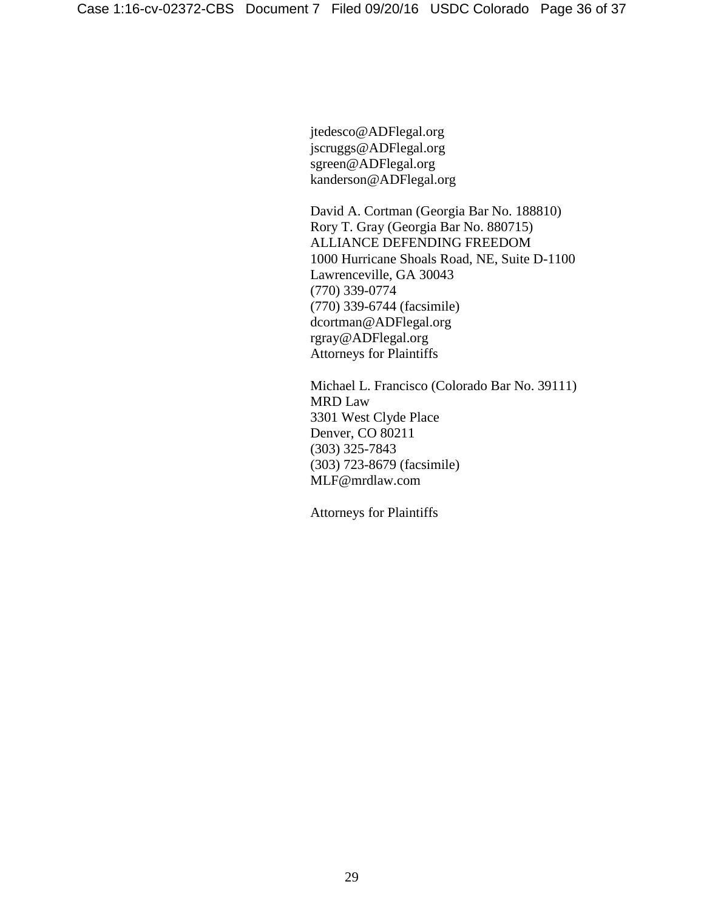jtedesco@ADFlegal.org jscruggs@ADFlegal.org sgreen@ADFlegal.org kanderson@ADFlegal.org

David A. Cortman (Georgia Bar No. 188810) Rory T. Gray (Georgia Bar No. 880715) ALLIANCE DEFENDING FREEDOM 1000 Hurricane Shoals Road, NE, Suite D-1100 Lawrenceville, GA 30043 (770) 339-0774 (770) 339-6744 (facsimile) dcortman@ADFlegal.org rgray@ADFlegal.org Attorneys for Plaintiffs

Michael L. Francisco (Colorado Bar No. 39111) MRD Law 3301 West Clyde Place Denver, CO 80211 (303) 325-7843 (303) 723-8679 (facsimile) MLF@mrdlaw.com

Attorneys for Plaintiffs